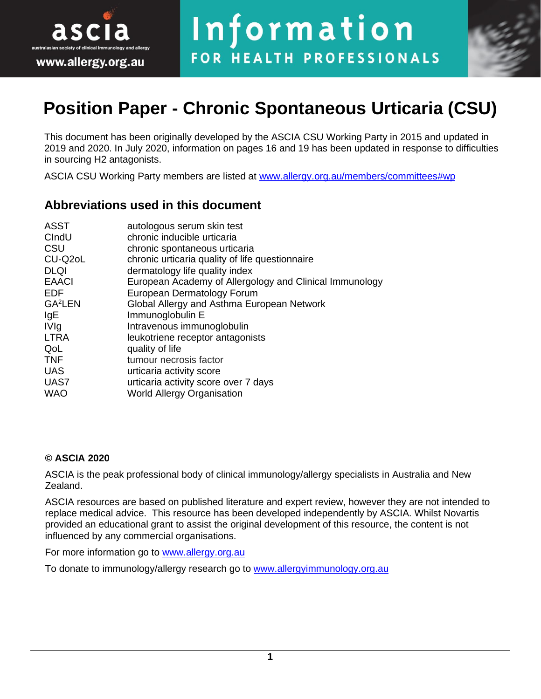



# **Position Paper - Chronic Spontaneous Urticaria (CSU)**

This document has been originally developed by the ASCIA CSU Working Party in 2015 and updated in 2019 and 2020. In July 2020, information on pages 16 and 19 has been updated in response to difficulties in sourcing H2 antagonists.

ASCIA CSU Working Party members are listed at [www.allergy.org.au/members/committees#wp](http://www.allergy.org.au/members/committees#wp) 

### **Abbreviations used in this document**

| <b>ASST</b>         | autologous serum skin test                              |  |
|---------------------|---------------------------------------------------------|--|
| CIndU               | chronic inducible urticaria                             |  |
| CSU                 | chronic spontaneous urticaria                           |  |
| CU-Q2oL             | chronic urticaria quality of life questionnaire         |  |
| <b>DLQI</b>         | dermatology life quality index                          |  |
| <b>EAACI</b>        | European Academy of Allergology and Clinical Immunology |  |
| <b>EDF</b>          | European Dermatology Forum                              |  |
| GA <sup>2</sup> LEN | Global Allergy and Asthma European Network              |  |
| IgE                 | Immunoglobulin E                                        |  |
| <b>IVIg</b>         | Intravenous immunoglobulin                              |  |
| <b>LTRA</b>         | leukotriene receptor antagonists                        |  |
| QoL                 | quality of life                                         |  |
| <b>TNF</b>          | tumour necrosis factor                                  |  |
| <b>UAS</b>          | urticaria activity score                                |  |
| UAS7                | urticaria activity score over 7 days                    |  |
| <b>WAO</b>          | <b>World Allergy Organisation</b>                       |  |

#### **© ASCIA 2020**

ASCIA is the peak professional body of clinical immunology/allergy specialists in Australia and New Zealand.

ASCIA resources are based on published literature and expert review, however they are not intended to replace medical advice. This resource has been developed independently by ASCIA. Whilst Novartis provided an educational grant to assist the original development of this resource, the content is not influenced by any commercial organisations.

For more information go to [www.allergy.org.au](http://www.allergy.org.au/)

To donate to immunology/allergy research go to [www.allergyimmunology.org.au](http://www.allergyimmunology.org.au/)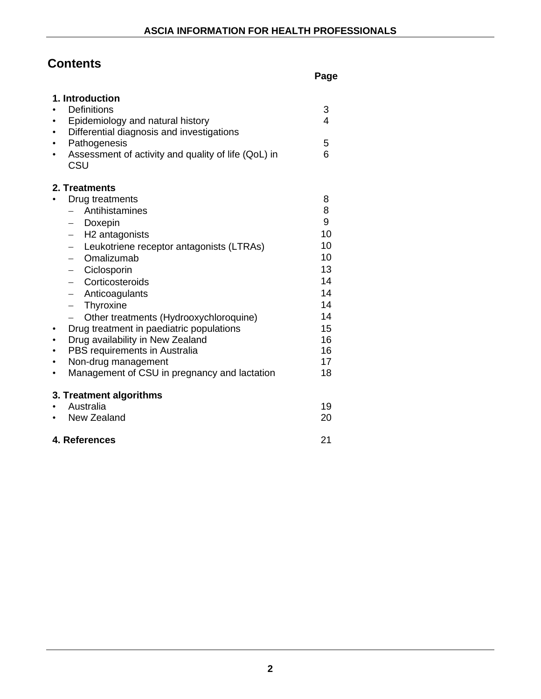## **Contents**

**Page** 

| 1. Introduction         |                                                                      |    |  |  |  |
|-------------------------|----------------------------------------------------------------------|----|--|--|--|
|                         | <b>Definitions</b><br>3                                              |    |  |  |  |
|                         | Epidemiology and natural history                                     | 4  |  |  |  |
|                         | Differential diagnosis and investigations                            |    |  |  |  |
|                         | Pathogenesis                                                         | 5  |  |  |  |
|                         | Assessment of activity and quality of life (QoL) in<br>CSU           | 6  |  |  |  |
|                         | 2. Treatments                                                        |    |  |  |  |
|                         | Drug treatments                                                      | 8  |  |  |  |
|                         | Antihistamines<br>$\qquad \qquad -$                                  | 8  |  |  |  |
|                         | - Doxepin                                                            | 9  |  |  |  |
|                         | - H2 antagonists                                                     | 10 |  |  |  |
|                         | Leukotriene receptor antagonists (LTRAs)<br>$\overline{\phantom{0}}$ | 10 |  |  |  |
|                         | Omalizumab<br>$\qquad \qquad -$                                      | 10 |  |  |  |
|                         | - Ciclosporin                                                        | 13 |  |  |  |
|                         | Corticosteroids<br>$\overline{\phantom{0}}$                          | 14 |  |  |  |
|                         | - Anticoagulants                                                     | 14 |  |  |  |
|                         | Thyroxine<br>$\qquad \qquad -$                                       | 14 |  |  |  |
|                         | Other treatments (Hydrooxychloroquine)                               | 14 |  |  |  |
|                         | Drug treatment in paediatric populations                             | 15 |  |  |  |
|                         | Drug availability in New Zealand                                     | 16 |  |  |  |
|                         | PBS requirements in Australia                                        | 16 |  |  |  |
|                         | Non-drug management                                                  | 17 |  |  |  |
|                         | Management of CSU in pregnancy and lactation                         | 18 |  |  |  |
| 3. Treatment algorithms |                                                                      |    |  |  |  |
|                         | Australia                                                            | 19 |  |  |  |
|                         | New Zealand                                                          | 20 |  |  |  |
| 4. References<br>21     |                                                                      |    |  |  |  |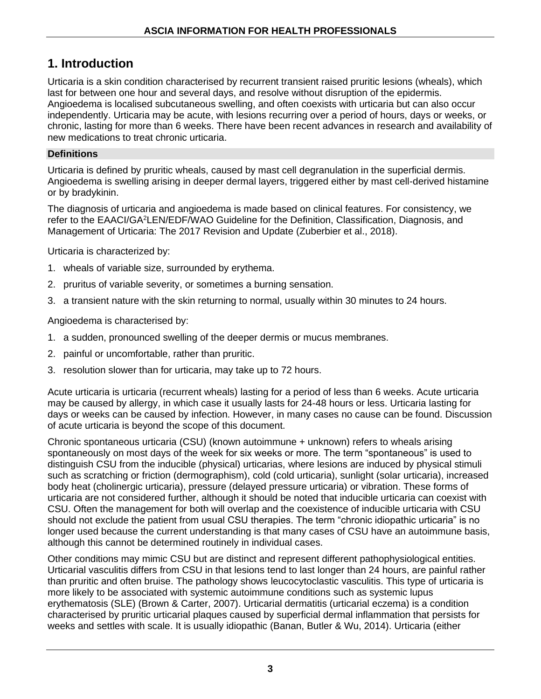## **1. Introduction**

Urticaria is a skin condition characterised by recurrent transient raised pruritic lesions (wheals), which last for between one hour and several days, and resolve without disruption of the epidermis. Angioedema is localised subcutaneous swelling, and often coexists with urticaria but can also occur independently. Urticaria may be acute, with lesions recurring over a period of hours, days or weeks, or chronic, lasting for more than 6 weeks. There have been recent advances in research and availability of new medications to treat chronic urticaria.

#### **Definitions**

Urticaria is defined by pruritic wheals, caused by mast cell degranulation in the superficial dermis. Angioedema is swelling arising in deeper dermal layers, triggered either by mast cell-derived histamine or by bradykinin.

The diagnosis of urticaria and angioedema is made based on clinical features. For consistency, we refer to the EAACI/GA<sup>2</sup>LEN/EDF/WAO Guideline for the Definition, Classification, Diagnosis, and Management of Urticaria: The 2017 Revision and Update (Zuberbier et al., 2018).

Urticaria is characterized by:

- 1. wheals of variable size, surrounded by erythema.
- 2. pruritus of variable severity, or sometimes a burning sensation.
- 3. a transient nature with the skin returning to normal, usually within 30 minutes to 24 hours.

Angioedema is characterised by:

- 1. a sudden, pronounced swelling of the deeper dermis or mucus membranes.
- 2. painful or uncomfortable, rather than pruritic.
- 3. resolution slower than for urticaria, may take up to 72 hours.

Acute urticaria is urticaria (recurrent wheals) lasting for a period of less than 6 weeks. Acute urticaria may be caused by allergy, in which case it usually lasts for 24-48 hours or less. Urticaria lasting for days or weeks can be caused by infection. However, in many cases no cause can be found. Discussion of acute urticaria is beyond the scope of this document.

Chronic spontaneous urticaria (CSU) (known autoimmune + unknown) refers to wheals arising spontaneously on most days of the week for six weeks or more. The term "spontaneous" is used to distinguish CSU from the inducible (physical) urticarias, where lesions are induced by physical stimuli such as scratching or friction (dermographism), cold (cold urticaria), sunlight (solar urticaria), increased body heat (cholinergic urticaria), pressure (delayed pressure urticaria) or vibration. These forms of urticaria are not considered further, although it should be noted that inducible urticaria can coexist with CSU. Often the management for both will overlap and the coexistence of inducible urticaria with CSU should not exclude the patient from usual CSU therapies. The term "chronic idiopathic urticaria" is no longer used because the current understanding is that many cases of CSU have an autoimmune basis, although this cannot be determined routinely in individual cases.

Other conditions may mimic CSU but are distinct and represent different pathophysiological entities. Urticarial vasculitis differs from CSU in that lesions tend to last longer than 24 hours, are painful rather than pruritic and often bruise. The pathology shows leucocytoclastic vasculitis. This type of urticaria is more likely to be associated with systemic autoimmune conditions such as systemic lupus erythematosis (SLE) (Brown & Carter, 2007). Urticarial dermatitis (urticarial eczema) is a condition characterised by pruritic urticarial plaques caused by superficial dermal inflammation that persists for weeks and settles with scale. It is usually idiopathic (Banan, Butler & Wu, 2014). Urticaria (either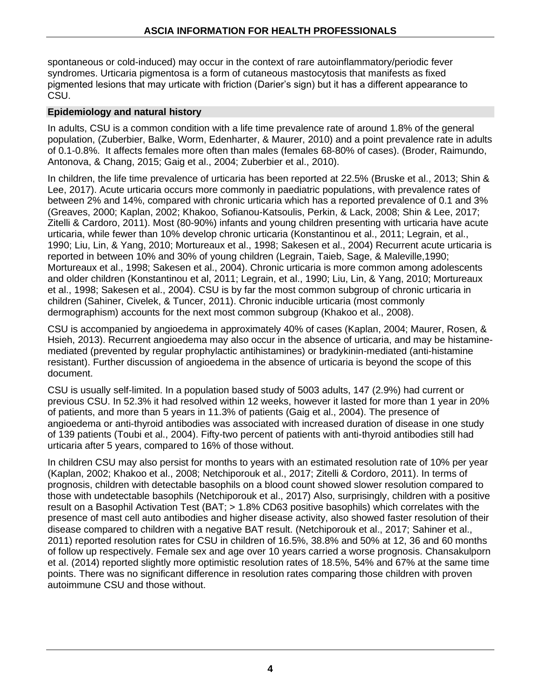spontaneous or cold-induced) may occur in the context of rare autoinflammatory/periodic fever syndromes. Urticaria pigmentosa is a form of cutaneous mastocytosis that manifests as fixed pigmented lesions that may urticate with friction (Darier's sign) but it has a different appearance to CSU.

#### **Epidemiology and natural history**

In adults, CSU is a common condition with a life time prevalence rate of around 1.8% of the general population, (Zuberbier, Balke, Worm, Edenharter, & Maurer, 2010) and a point prevalence rate in adults of 0.1-0.8%. It affects females more often than males (females 68-80% of cases). (Broder, Raimundo, Antonova, & Chang, 2015; Gaig et al., 2004; Zuberbier et al., 2010).

In children, the life time prevalence of urticaria has been reported at 22.5% (Bruske et al., 2013; Shin & Lee, 2017). Acute urticaria occurs more commonly in paediatric populations, with prevalence rates of between 2% and 14%, compared with chronic urticaria which has a reported prevalence of 0.1 and 3% (Greaves, 2000; Kaplan, 2002; Khakoo, Sofianou-Katsoulis, Perkin, & Lack, 2008; Shin & Lee, 2017; Zitelli & Cardoro, 2011). Most (80-90%) infants and young children presenting with urticaria have acute urticaria, while fewer than 10% develop chronic urticaria (Konstantinou et al., 2011; Legrain, et al., 1990; Liu, Lin, & Yang, 2010; Mortureaux et al., 1998; Sakesen et al., 2004) Recurrent acute urticaria is reported in between 10% and 30% of young children (Legrain, Taieb, Sage, & Maleville,1990; Mortureaux et al., 1998; Sakesen et al., 2004). Chronic urticaria is more common among adolescents and older children (Konstantinou et al, 2011; Legrain, et al., 1990; Liu, Lin, & Yang, 2010; Mortureaux et al., 1998; Sakesen et al., 2004). CSU is by far the most common subgroup of chronic urticaria in children (Sahiner, Civelek, & Tuncer, 2011). Chronic inducible urticaria (most commonly dermographism) accounts for the next most common subgroup (Khakoo et al., 2008).

CSU is accompanied by angioedema in approximately 40% of cases (Kaplan, 2004; Maurer, Rosen, & Hsieh, 2013). Recurrent angioedema may also occur in the absence of urticaria, and may be histaminemediated (prevented by regular prophylactic antihistamines) or bradykinin-mediated (anti-histamine resistant). Further discussion of angioedema in the absence of urticaria is beyond the scope of this document.

CSU is usually self-limited. In a population based study of 5003 adults, 147 (2.9%) had current or previous CSU. In 52.3% it had resolved within 12 weeks, however it lasted for more than 1 year in 20% of patients, and more than 5 years in 11.3% of patients (Gaig et al., 2004). The presence of angioedema or anti-thyroid antibodies was associated with increased duration of disease in one study of 139 patients (Toubi et al., 2004). Fifty-two percent of patients with anti-thyroid antibodies still had urticaria after 5 years, compared to 16% of those without.

In children CSU may also persist for months to years with an estimated resolution rate of 10% per year (Kaplan, 2002; Khakoo et al., 2008; Netchiporouk et al., 2017; Zitelli & Cordoro, 2011). In terms of prognosis, children with detectable basophils on a blood count showed slower resolution compared to those with undetectable basophils (Netchiporouk et al., 2017) Also, surprisingly, children with a positive result on a Basophil Activation Test (BAT; > 1.8% CD63 positive basophils) which correlates with the presence of mast cell auto antibodies and higher disease activity, also showed faster resolution of their disease compared to children with a negative BAT result. (Netchiporouk et al., 2017; Sahiner et al., 2011) reported resolution rates for CSU in children of 16.5%, 38.8% and 50% at 12, 36 and 60 months of follow up respectively. Female sex and age over 10 years carried a worse prognosis. Chansakulporn et al. (2014) reported slightly more optimistic resolution rates of 18.5%, 54% and 67% at the same time points. There was no significant difference in resolution rates comparing those children with proven autoimmune CSU and those without.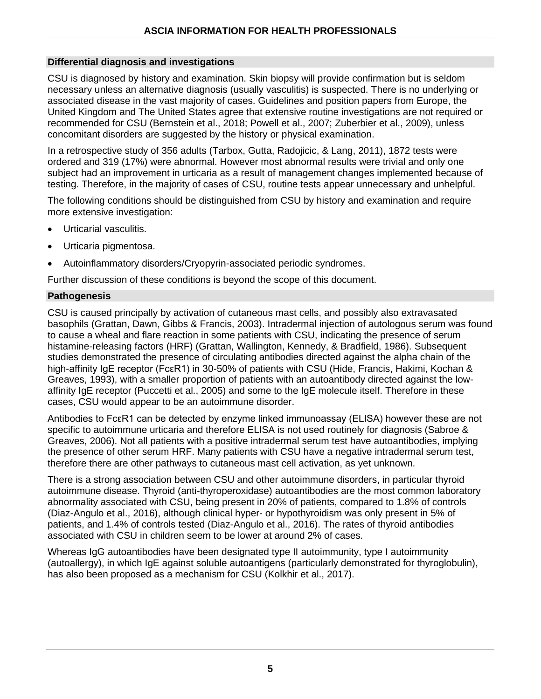#### **Differential diagnosis and investigations**

CSU is diagnosed by history and examination. Skin biopsy will provide confirmation but is seldom necessary unless an alternative diagnosis (usually vasculitis) is suspected. There is no underlying or associated disease in the vast majority of cases. Guidelines and position papers from Europe, the United Kingdom and The United States agree that extensive routine investigations are not required or recommended for CSU (Bernstein et al., 2018; Powell et al., 2007; Zuberbier et al., 2009), unless concomitant disorders are suggested by the history or physical examination.

In a retrospective study of 356 adults (Tarbox, Gutta, Radojicic, & Lang, 2011), 1872 tests were ordered and 319 (17%) were abnormal. However most abnormal results were trivial and only one subject had an improvement in urticaria as a result of management changes implemented because of testing. Therefore, in the majority of cases of CSU, routine tests appear unnecessary and unhelpful.

The following conditions should be distinguished from CSU by history and examination and require more extensive investigation:

- Urticarial vasculitis.
- Urticaria pigmentosa.
- Autoinflammatory disorders/Cryopyrin-associated periodic syndromes.

Further discussion of these conditions is beyond the scope of this document.

#### **Pathogenesis**

CSU is caused principally by activation of cutaneous mast cells, and possibly also extravasated basophils (Grattan, Dawn, Gibbs & Francis, 2003). Intradermal injection of autologous serum was found to cause a wheal and flare reaction in some patients with CSU, indicating the presence of serum histamine-releasing factors (HRF) (Grattan, Wallington, Kennedy, & Bradfield, 1986). Subsequent studies demonstrated the presence of circulating antibodies directed against the alpha chain of the high-affinity IgE receptor (FcεR1) in 30-50% of patients with CSU (Hide, Francis, Hakimi, Kochan & Greaves, 1993), with a smaller proportion of patients with an autoantibody directed against the lowaffinity IgE receptor (Puccetti et al., 2005) and some to the IgE molecule itself. Therefore in these cases, CSU would appear to be an autoimmune disorder.

Antibodies to FcεR1 can be detected by enzyme linked immunoassay (ELISA) however these are not specific to autoimmune urticaria and therefore ELISA is not used routinely for diagnosis (Sabroe & Greaves, 2006). Not all patients with a positive intradermal serum test have autoantibodies, implying the presence of other serum HRF. Many patients with CSU have a negative intradermal serum test, therefore there are other pathways to cutaneous mast cell activation, as yet unknown.

There is a strong association between CSU and other autoimmune disorders, in particular thyroid autoimmune disease. Thyroid (anti-thyroperoxidase) autoantibodies are the most common laboratory abnormality associated with CSU, being present in 20% of patients, compared to 1.8% of controls (Diaz-Angulo et al., 2016), although clinical hyper- or hypothyroidism was only present in 5% of patients, and 1.4% of controls tested (Diaz-Angulo et al., 2016). The rates of thyroid antibodies associated with CSU in children seem to be lower at around 2% of cases.

Whereas IgG autoantibodies have been designated type II autoimmunity, type I autoimmunity (autoallergy), in which IgE against soluble autoantigens (particularly demonstrated for thyroglobulin), has also been proposed as a mechanism for CSU (Kolkhir et al., 2017).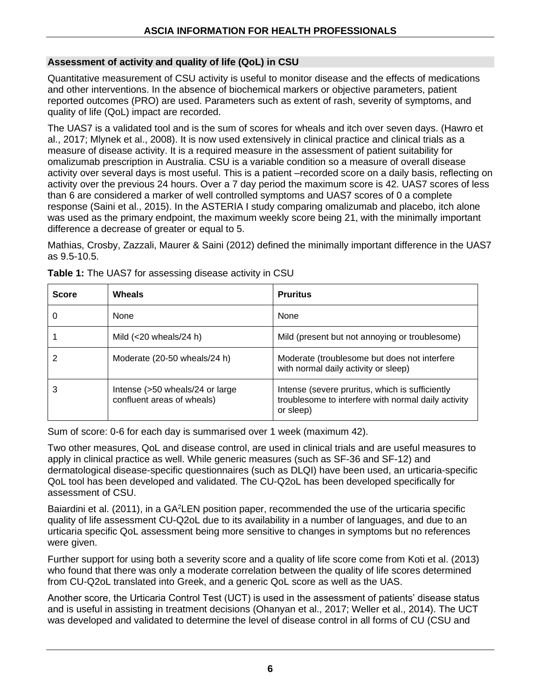#### **Assessment of activity and quality of life (QoL) in CSU**

Quantitative measurement of CSU activity is useful to monitor disease and the effects of medications and other interventions. In the absence of biochemical markers or objective parameters, patient reported outcomes (PRO) are used. Parameters such as extent of rash, severity of symptoms, and quality of life (QoL) impact are recorded.

The UAS7 is a validated tool and is the sum of scores for wheals and itch over seven days. (Hawro et al., 2017; Mlynek et al., 2008). It is now used extensively in clinical practice and clinical trials as a measure of disease activity. It is a required measure in the assessment of patient suitability for omalizumab prescription in Australia. CSU is a variable condition so a measure of overall disease activity over several days is most useful. This is a patient –recorded score on a daily basis, reflecting on activity over the previous 24 hours. Over a 7 day period the maximum score is 42. UAS7 scores of less than 6 are considered a marker of well controlled symptoms and UAS7 scores of 0 a complete response (Saini et al., 2015). In the ASTERIA I study comparing omalizumab and placebo, itch alone was used as the primary endpoint, the maximum weekly score being 21, with the minimally important difference a decrease of greater or equal to 5.

Mathias, Crosby, Zazzali, Maurer & Saini (2012) defined the minimally important difference in the UAS7 as 9.5-10.5.

| <b>Score</b> | Wheals                                                        | <b>Pruritus</b>                                                                                                     |
|--------------|---------------------------------------------------------------|---------------------------------------------------------------------------------------------------------------------|
|              | <b>None</b>                                                   | None                                                                                                                |
|              | Mild $(<$ 20 wheals/24 h)                                     | Mild (present but not annoying or troublesome)                                                                      |
|              | Moderate (20-50 wheals/24 h)                                  | Moderate (troublesome but does not interfere<br>with normal daily activity or sleep)                                |
| 3            | Intense (>50 wheals/24 or large<br>confluent areas of wheals) | Intense (severe pruritus, which is sufficiently<br>troublesome to interfere with normal daily activity<br>or sleep) |

**Table 1:** The UAS7 for assessing disease activity in CSU

Sum of score: 0-6 for each day is summarised over 1 week (maximum 42).

Two other measures, QoL and disease control, are used in clinical trials and are useful measures to apply in clinical practice as well. While generic measures (such as SF-36 and SF-12) and dermatological disease-specific questionnaires (such as DLQI) have been used, an urticaria-specific QoL tool has been developed and validated. The CU-Q2oL has been developed specifically for assessment of CSU.

Baiardini et al. (2011), in a GA<sup>2</sup>LEN position paper, recommended the use of the urticaria specific quality of life assessment CU-Q2oL due to its availability in a number of languages, and due to an urticaria specific QoL assessment being more sensitive to changes in symptoms but no references were given.

Further support for using both a severity score and a quality of life score come from Koti et al. (2013) who found that there was only a moderate correlation between the quality of life scores determined from CU-Q2oL translated into Greek, and a generic QoL score as well as the UAS.

Another score, the Urticaria Control Test (UCT) is used in the assessment of patients' disease status and is useful in assisting in treatment decisions (Ohanyan et al., 2017; Weller et al., 2014). The UCT was developed and validated to determine the level of disease control in all forms of CU (CSU and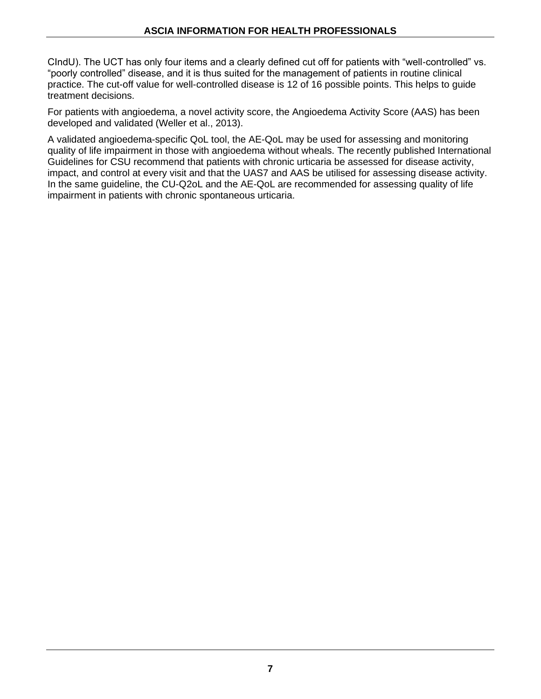CIndU). The UCT has only four items and a clearly defined cut off for patients with "well-controlled" vs. "poorly controlled" disease, and it is thus suited for the management of patients in routine clinical practice. The cut-off value for well-controlled disease is 12 of 16 possible points. This helps to guide treatment decisions.

For patients with angioedema, a novel activity score, the Angioedema Activity Score (AAS) has been developed and validated (Weller et al., 2013).

A validated angioedema-specific QoL tool, the AE-QoL may be used for assessing and monitoring quality of life impairment in those with angioedema without wheals. The recently published International Guidelines for CSU recommend that patients with chronic urticaria be assessed for disease activity, impact, and control at every visit and that the UAS7 and AAS be utilised for assessing disease activity. In the same guideline, the CU-Q2oL and the AE-QoL are recommended for assessing quality of life impairment in patients with chronic spontaneous urticaria.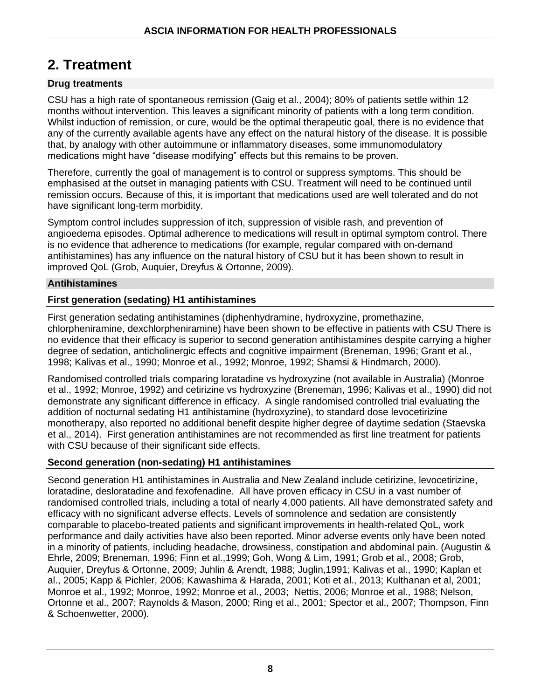## **2. Treatment**

#### **Drug treatments**

CSU has a high rate of spontaneous remission (Gaig et al., 2004); 80% of patients settle within 12 months without intervention. This leaves a significant minority of patients with a long term condition. Whilst induction of remission, or cure, would be the optimal therapeutic goal, there is no evidence that any of the currently available agents have any effect on the natural history of the disease. It is possible that, by analogy with other autoimmune or inflammatory diseases, some immunomodulatory medications might have "disease modifying" effects but this remains to be proven.

Therefore, currently the goal of management is to control or suppress symptoms. This should be emphasised at the outset in managing patients with CSU. Treatment will need to be continued until remission occurs. Because of this, it is important that medications used are well tolerated and do not have significant long-term morbidity.

Symptom control includes suppression of itch, suppression of visible rash, and prevention of angioedema episodes. Optimal adherence to medications will result in optimal symptom control. There is no evidence that adherence to medications (for example, regular compared with on-demand antihistamines) has any influence on the natural history of CSU but it has been shown to result in improved QoL (Grob, Auquier, Dreyfus & Ortonne, 2009).

#### **Antihistamines**

#### **First generation (sedating) H1 antihistamines**

First generation sedating antihistamines (diphenhydramine, hydroxyzine, promethazine, chlorpheniramine, dexchlorpheniramine) have been shown to be effective in patients with CSU There is no evidence that their efficacy is superior to second generation antihistamines despite carrying a higher degree of sedation, anticholinergic effects and cognitive impairment (Breneman, 1996; Grant et al., 1998; Kalivas et al., 1990; Monroe et al., 1992; Monroe, 1992; Shamsi & Hindmarch, 2000).

Randomised controlled trials comparing loratadine vs hydroxyzine (not available in Australia) (Monroe et al., 1992; Monroe, 1992) and cetirizine vs hydroxyzine (Breneman, 1996; Kalivas et al., 1990) did not demonstrate any significant difference in efficacy. A single randomised controlled trial evaluating the addition of nocturnal sedating H1 antihistamine (hydroxyzine), to standard dose levocetirizine monotherapy, also reported no additional benefit despite higher degree of daytime sedation (Staevska et al., 2014). First generation antihistamines are not recommended as first line treatment for patients with CSU because of their significant side effects.

#### **Second generation (non-sedating) H1 antihistamines**

Second generation H1 antihistamines in Australia and New Zealand include cetirizine, levocetirizine, loratadine, desloratadine and fexofenadine. All have proven efficacy in CSU in a vast number of randomised controlled trials, including a total of nearly 4,000 patients. All have demonstrated safety and efficacy with no significant adverse effects. Levels of somnolence and sedation are consistently comparable to placebo-treated patients and significant improvements in health-related QoL, work performance and daily activities have also been reported. Minor adverse events only have been noted in a minority of patients, including headache, drowsiness, constipation and abdominal pain. (Augustin & Ehrle, 2009; Breneman, 1996; Finn et al.,1999; Goh, Wong & Lim, 1991; Grob et al., 2008; Grob, Auquier, Dreyfus & Ortonne, 2009; Juhlin & Arendt, 1988; Juglin,1991; Kalivas et al., 1990; Kaplan et al., 2005; Kapp & Pichler, 2006; Kawashima & Harada, 2001; Koti et al., 2013; Kulthanan et al, 2001; Monroe et al., 1992; Monroe, 1992; Monroe et al., 2003; Nettis, 2006; Monroe et al., 1988; Nelson, Ortonne et al., 2007; Raynolds & Mason, 2000; Ring et al., 2001; Spector et al., 2007; Thompson, Finn & Schoenwetter, 2000).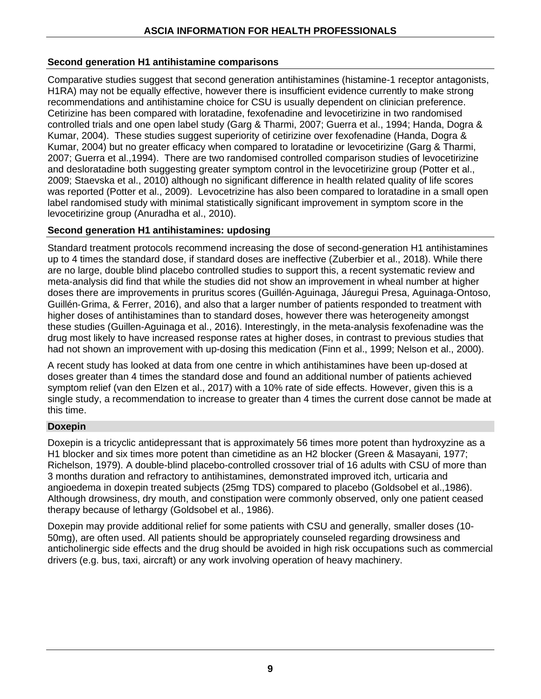#### **Second generation H1 antihistamine comparisons**

Comparative studies suggest that second generation antihistamines (histamine-1 receptor antagonists, H1RA) may not be equally effective, however there is insufficient evidence currently to make strong recommendations and antihistamine choice for CSU is usually dependent on clinician preference. Cetirizine has been compared with loratadine, fexofenadine and levocetirizine in two randomised controlled trials and one open label study (Garg & Tharmi, 2007; Guerra et al., 1994; Handa, Dogra & Kumar, 2004). These studies suggest superiority of cetirizine over fexofenadine (Handa, Dogra & Kumar, 2004) but no greater efficacy when compared to loratadine or levocetirizine (Garg & Tharmi, 2007; Guerra et al.,1994). There are two randomised controlled comparison studies of levocetirizine and desloratadine both suggesting greater symptom control in the levocetirizine group (Potter et al., 2009; Staevska et al., 2010) although no significant difference in health related quality of life scores was reported (Potter et al., 2009). Levocetrizine has also been compared to loratadine in a small open label randomised study with minimal statistically significant improvement in symptom score in the levocetirizine group (Anuradha et al., 2010).

#### **Second generation H1 antihistamines: updosing**

Standard treatment protocols recommend increasing the dose of second-generation H1 antihistamines up to 4 times the standard dose, if standard doses are ineffective (Zuberbier et al., 2018). While there are no large, double blind placebo controlled studies to support this, a recent systematic review and meta-analysis did find that while the studies did not show an improvement in wheal number at higher doses there are improvements in pruritus scores (Guillén‐[Aguinaga,](https://onlinelibrary.wiley.com/action/doSearch?ContribAuthorStored=Guill%C3%A9n-Aguinaga%2C+S) [Jáuregui Presa,](https://onlinelibrary.wiley.com/action/doSearch?ContribAuthorStored=J%C3%A1uregui+Presa%2C+I) Aguinaga‐Ontoso, Guillén‐Grima, & Ferrer, 2016), and also that a larger number of patients responded to treatment with higher doses of antihistamines than to standard doses, however there was heterogeneity amongst these studies (Guillen-Aguinaga et al., 2016). Interestingly, in the meta-analysis fexofenadine was the drug most likely to have increased response rates at higher doses, in contrast to previous studies that had not shown an improvement with up-dosing this medication (Finn et al., 1999; Nelson et al., 2000).

A recent study has looked at data from one centre in which antihistamines have been up-dosed at doses greater than 4 times the standard dose and found an additional number of patients achieved symptom relief (van den Elzen et al., 2017) with a 10% rate of side effects. However, given this is a single study, a recommendation to increase to greater than 4 times the current dose cannot be made at this time.

#### **Doxepin**

Doxepin is a tricyclic antidepressant that is approximately 56 times more potent than hydroxyzine as a H1 blocker and six times more potent than cimetidine as an H2 blocker (Green & Masayani, 1977; Richelson, 1979). A double-blind placebo-controlled crossover trial of 16 adults with CSU of more than 3 months duration and refractory to antihistamines, demonstrated improved itch, urticaria and angioedema in doxepin treated subjects (25mg TDS) compared to placebo (Goldsobel et al.,1986). Although drowsiness, dry mouth, and constipation were commonly observed, only one patient ceased therapy because of lethargy (Goldsobel et al., 1986).

Doxepin may provide additional relief for some patients with CSU and generally, smaller doses (10- 50mg), are often used. All patients should be appropriately counseled regarding drowsiness and anticholinergic side effects and the drug should be avoided in high risk occupations such as commercial drivers (e.g. bus, taxi, aircraft) or any work involving operation of heavy machinery.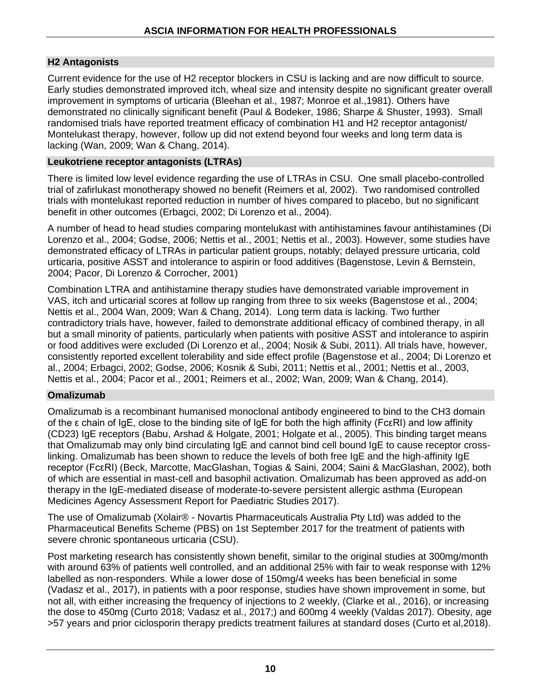#### **H2 Antagonists**

Current evidence for the use of H2 receptor blockers in CSU is lacking and are now difficult to source. Early studies demonstrated improved itch, wheal size and intensity despite no significant greater overall improvement in symptoms of urticaria (Bleehan et al., 1987; Monroe et al.,1981). Others have demonstrated no clinically significant benefit (Paul & Bodeker, 1986; Sharpe & Shuster, 1993). Small randomised trials have reported treatment efficacy of combination H1 and H2 receptor antagonist/ Montelukast therapy, however, follow up did not extend beyond four weeks and long term data is lacking (Wan, 2009; Wan & Chang, 2014).

#### **Leukotriene receptor antagonists (LTRAs)**

There is limited low level evidence regarding the use of LTRAs in CSU. One small placebo-controlled trial of zafirlukast monotherapy showed no benefit (Reimers et al, 2002). Two randomised controlled trials with montelukast reported reduction in number of hives compared to placebo, but no significant benefit in other outcomes (Erbagci, 2002; Di Lorenzo et al., 2004).

A number of head to head studies comparing montelukast with antihistamines favour antihistamines (Di Lorenzo et al., 2004; Godse, 2006; Nettis et al., 2001; Nettis et al., 2003). However, some studies have demonstrated efficacy of LTRAs in particular patient groups, notably; delayed pressure urticaria, cold urticaria, positive ASST and intolerance to aspirin or food additives (Bagenstose, Levin & Bernstein, 2004; Pacor, Di Lorenzo & Corrocher, 2001)

Combination LTRA and antihistamine therapy studies have demonstrated variable improvement in VAS, itch and urticarial scores at follow up ranging from three to six weeks (Bagenstose et al., 2004; Nettis et al., 2004 Wan, 2009; Wan & Chang, 2014). Long term data is lacking. Two further contradictory trials have, however, failed to demonstrate additional efficacy of combined therapy, in all but a small minority of patients, particularly when patients with positive ASST and intolerance to aspirin or food additives were excluded (Di Lorenzo et al., 2004; Nosik & Subi, 2011). All trials have, however, consistently reported excellent tolerability and side effect profile (Bagenstose et al., 2004; Di Lorenzo et al., 2004; Erbagci, 2002; Godse, 2006; Kosnik & Subi, 2011; Nettis et al., 2001; Nettis et al., 2003, Nettis et al., 2004; Pacor et al., 2001; Reimers et al., 2002; Wan, 2009; Wan & Chang, 2014).

#### **Omalizumab**

Omalizumab is a recombinant humanised monoclonal antibody engineered to bind to the CH3 domain of the ε chain of IgE, close to the binding site of IgE for both the high affinity (FcεRI) and low affinity (CD23) IgE receptors (Babu, Arshad & Holgate, 2001; Holgate et al., 2005). This binding target means that Omalizumab may only bind circulating IgE and cannot bind cell bound IgE to cause receptor crosslinking. Omalizumab has been shown to reduce the levels of both free IgE and the high-affinity IgE receptor (FcεRI) (Beck, Marcotte, MacGlashan, Togias & Saini, 2004; Saini & MacGlashan, 2002), both of which are essential in mast-cell and basophil activation. Omalizumab has been approved as add-on therapy in the IgE-mediated disease of moderate-to-severe persistent allergic asthma (European Medicines Agency Assessment Report for Paediatric Studies 2017).

The use of Omalizumab (Xolair® - Novartis Pharmaceuticals Australia Pty Ltd) was added to the Pharmaceutical Benefits Scheme (PBS) on 1st September 2017 for the treatment of patients with severe chronic spontaneous urticaria (CSU).

Post marketing research has consistently shown benefit, similar to the original studies at 300mg/month with around 63% of patients well controlled, and an additional 25% with fair to weak response with 12% labelled as non-responders. While a lower dose of 150mg/4 weeks has been beneficial in some (Vadasz et al., 2017), in patients with a poor response, studies have shown improvement in some, but not all, with either increasing the frequency of injections to 2 weekly, (Clarke et al., 2016), or increasing the dose to 450mg (Curto 2018; Vadasz et al., 2017;) and 600mg 4 weekly (Valdas 2017). Obesity, age >57 years and prior ciclosporin therapy predicts treatment failures at standard doses (Curto et al,2018).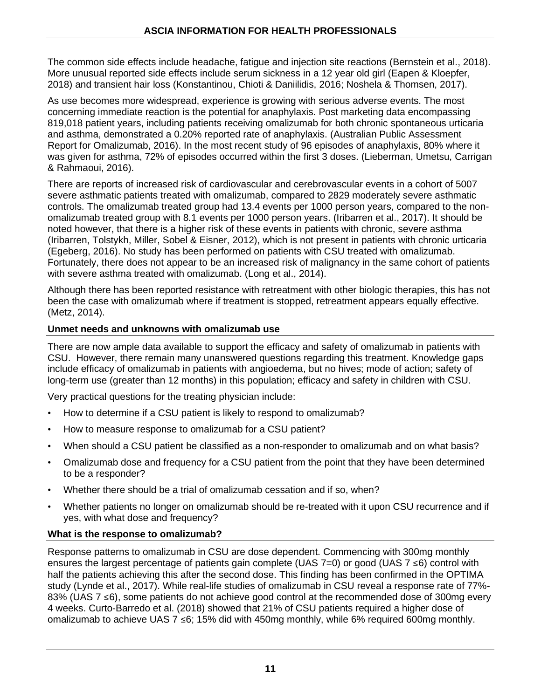The common side effects include headache, fatigue and injection site reactions (Bernstein et al., 2018). More unusual reported side effects include serum sickness in a 12 year old girl (Eapen & Kloepfer, 2018) and transient hair loss (Konstantinou, Chioti & Daniilidis, 2016; Noshela & Thomsen, 2017).

As use becomes more widespread, experience is growing with serious adverse events. The most concerning immediate reaction is the potential for anaphylaxis. Post marketing data encompassing 819,018 patient years, including patients receiving omalizumab for both chronic spontaneous urticaria and asthma, demonstrated a 0.20% reported rate of anaphylaxis. (Australian Public Assessment Report for Omalizumab, 2016). In the most recent study of 96 episodes of anaphylaxis, 80% where it was given for asthma, 72% of episodes occurred within the first 3 doses. (Lieberman, Umetsu, Carrigan & Rahmaoui, 2016).

There are reports of increased risk of cardiovascular and cerebrovascular events in a cohort of 5007 severe asthmatic patients treated with omalizumab, compared to 2829 moderately severe asthmatic controls. The omalizumab treated group had 13.4 events per 1000 person years, compared to the nonomalizumab treated group with 8.1 events per 1000 person years. (Iribarren et al., 2017). It should be noted however, that there is a higher risk of these events in patients with chronic, severe asthma (Iribarren, Tolstykh, Miller, Sobel & Eisner, 2012), which is not present in patients with chronic urticaria (Egeberg, 2016). No study has been performed on patients with CSU treated with omalizumab. Fortunately, there does not appear to be an increased risk of malignancy in the same cohort of patients with severe asthma treated with omalizumab. (Long et al., 2014).

Although there has been reported resistance with retreatment with other biologic therapies, this has not been the case with omalizumab where if treatment is stopped, retreatment appears equally effective. (Metz, 2014).

#### **Unmet needs and unknowns with omalizumab use**

There are now ample data available to support the efficacy and safety of omalizumab in patients with CSU. However, there remain many unanswered questions regarding this treatment. Knowledge gaps include efficacy of omalizumab in patients with angioedema, but no hives; mode of action; safety of long-term use (greater than 12 months) in this population; efficacy and safety in children with CSU.

Very practical questions for the treating physician include:

- How to determine if a CSU patient is likely to respond to omalizumab?
- How to measure response to omalizumab for a CSU patient?
- When should a CSU patient be classified as a non-responder to omalizumab and on what basis?
- Omalizumab dose and frequency for a CSU patient from the point that they have been determined to be a responder?
- Whether there should be a trial of omalizumab cessation and if so, when?
- Whether patients no longer on omalizumab should be re-treated with it upon CSU recurrence and if yes, with what dose and frequency?

#### **What is the response to omalizumab?**

Response patterns to omalizumab in CSU are dose dependent. Commencing with 300mg monthly ensures the largest percentage of patients gain complete (UAS 7=0) or good (UAS 7 ≤6) control with half the patients achieving this after the second dose. This finding has been confirmed in the OPTIMA study (Lynde et al., 2017). While real-life studies of omalizumab in CSU reveal a response rate of 77%- 83% (UAS 7 ≤6), some patients do not achieve good control at the recommended dose of 300mg every 4 weeks. Curto-Barredo et al. (2018) showed that 21% of CSU patients required a higher dose of omalizumab to achieve UAS 7 ≤6; 15% did with 450mg monthly, while 6% required 600mg monthly.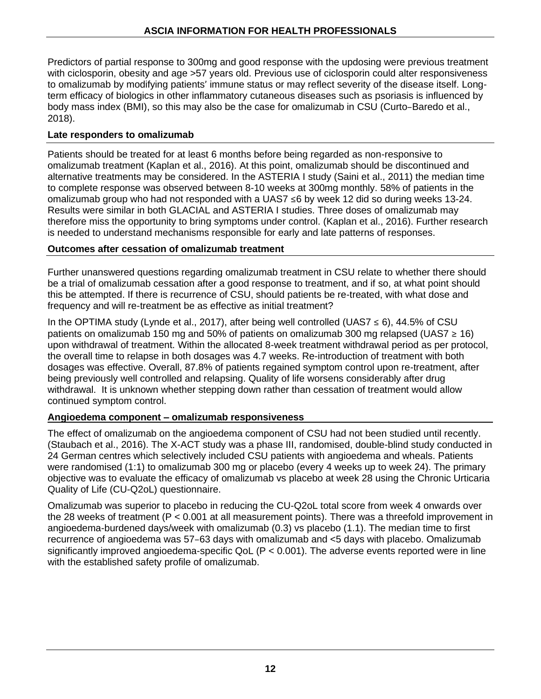Predictors of partial response to 300mg and good response with the updosing were previous treatment with ciclosporin, obesity and age >57 years old. Previous use of ciclosporin could alter responsiveness to omalizumab by modifying patients' immune status or may reflect severity of the disease itself. Longterm efficacy of biologics in other inflammatory cutaneous diseases such as psoriasis is influenced by body mass index (BMI), so this may also be the case for omalizumab in CSU (Curto–Baredo et al., 2018).

#### **Late responders to omalizumab**

Patients should be treated for at least 6 months before being regarded as non-responsive to omalizumab treatment (Kaplan et al., 2016). At this point, omalizumab should be discontinued and alternative treatments may be considered. In the ASTERIA I study (Saini et al., 2011) the median time to complete response was observed between 8-10 weeks at 300mg monthly. 58% of patients in the omalizumab group who had not responded with a UAS7 ≤6 by week 12 did so during weeks 13-24. Results were similar in both GLACIAL and ASTERIA I studies. Three doses of omalizumab may therefore miss the opportunity to bring symptoms under control. (Kaplan et al., 2016). Further research is needed to understand mechanisms responsible for early and late patterns of responses.

#### **Outcomes after cessation of omalizumab treatment**

Further unanswered questions regarding omalizumab treatment in CSU relate to whether there should be a trial of omalizumab cessation after a good response to treatment, and if so, at what point should this be attempted. If there is recurrence of CSU, should patients be re-treated, with what dose and frequency and will re-treatment be as effective as initial treatment?

In the OPTIMA study (Lynde et al., 2017), after being well controlled (UAS7  $\leq$  6), 44.5% of CSU patients on omalizumab 150 mg and 50% of patients on omalizumab 300 mg relapsed (UAS7  $\geq$  16) upon withdrawal of treatment. Within the allocated 8-week treatment withdrawal period as per protocol, the overall time to relapse in both dosages was 4.7 weeks. Re-introduction of treatment with both dosages was effective. Overall, 87.8% of patients regained symptom control upon re-treatment, after being previously well controlled and relapsing. Quality of life worsens considerably after drug withdrawal. It is unknown whether stepping down rather than cessation of treatment would allow continued symptom control.

#### **Angioedema component – omalizumab responsiveness**

The effect of omalizumab on the angioedema component of CSU had not been studied until recently. (Staubach et al., 2016). The X-ACT study was a phase III, randomised, double-blind study conducted in 24 German centres which selectively included CSU patients with angioedema and wheals. Patients were randomised (1:1) to omalizumab 300 mg or placebo (every 4 weeks up to week 24). The primary objective was to evaluate the efficacy of omalizumab vs placebo at week 28 using the Chronic Urticaria Quality of Life (CU-Q2oL) questionnaire.

Omalizumab was superior to placebo in reducing the CU-Q2oL total score from week 4 onwards over the 28 weeks of treatment (P < 0.001 at all measurement points). There was a threefold improvement in angioedema-burdened days/week with omalizumab (0.3) vs placebo (1.1). The median time to first recurrence of angioedema was 57–63 days with omalizumab and <5 days with placebo. Omalizumab significantly improved angioedema-specific QoL  $(P < 0.001)$ . The adverse events reported were in line with the established safety profile of omalizumab.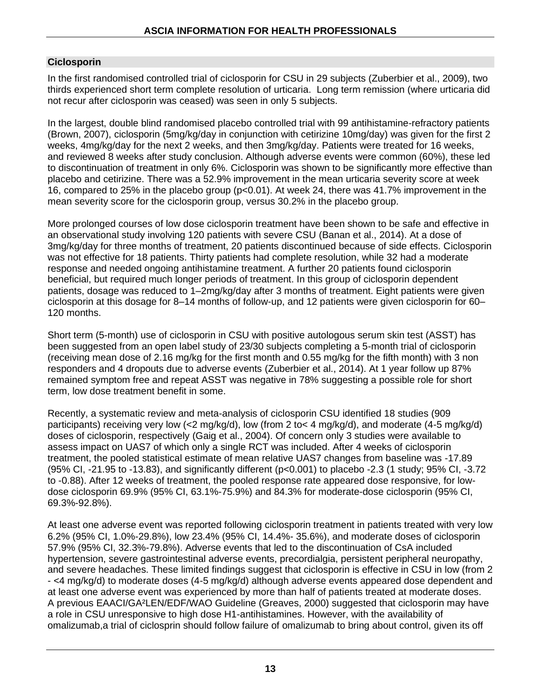#### **Ciclosporin**

In the first randomised controlled trial of ciclosporin for CSU in 29 subjects (Zuberbier et al., 2009), two thirds experienced short term complete resolution of urticaria. Long term remission (where urticaria did not recur after ciclosporin was ceased) was seen in only 5 subjects.

In the largest, double blind randomised placebo controlled trial with 99 antihistamine-refractory patients (Brown, 2007), ciclosporin (5mg/kg/day in conjunction with cetirizine 10mg/day) was given for the first 2 weeks, 4mg/kg/day for the next 2 weeks, and then 3mg/kg/day. Patients were treated for 16 weeks, and reviewed 8 weeks after study conclusion. Although adverse events were common (60%), these led to discontinuation of treatment in only 6%. Ciclosporin was shown to be significantly more effective than placebo and cetirizine. There was a 52.9% improvement in the mean urticaria severity score at week 16, compared to 25% in the placebo group (p<0.01). At week 24, there was 41.7% improvement in the mean severity score for the ciclosporin group, versus 30.2% in the placebo group.

More prolonged courses of low dose ciclosporin treatment have been shown to be safe and effective in an observational study involving 120 patients with severe CSU (Banan et al., 2014). At a dose of 3mg/kg/day for three months of treatment, 20 patients discontinued because of side effects. Ciclosporin was not effective for 18 patients. Thirty patients had complete resolution, while 32 had a moderate response and needed ongoing antihistamine treatment. A further 20 patients found ciclosporin beneficial, but required much longer periods of treatment. In this group of ciclosporin dependent patients, dosage was reduced to 1–2mg/kg/day after 3 months of treatment. Eight patients were given ciclosporin at this dosage for 8–14 months of follow-up, and 12 patients were given ciclosporin for 60– 120 months.

Short term (5-month) use of ciclosporin in CSU with positive autologous serum skin test (ASST) has been suggested from an open label study of 23/30 subjects completing a 5-month trial of ciclosporin (receiving mean dose of 2.16 mg/kg for the first month and 0.55 mg/kg for the fifth month) with 3 non responders and 4 dropouts due to adverse events (Zuberbier et al., 2014). At 1 year follow up 87% remained symptom free and repeat ASST was negative in 78% suggesting a possible role for short term, low dose treatment benefit in some.

Recently, a systematic review and meta-analysis of ciclosporin CSU identified 18 studies (909 participants) receiving very low (<2 mg/kg/d), low (from 2 to< 4 mg/kg/d), and moderate (4-5 mg/kg/d) doses of ciclosporin, respectively (Gaig et al., 2004). Of concern only 3 studies were available to assess impact on UAS7 of which only a single RCT was included. After 4 weeks of ciclosporin treatment, the pooled statistical estimate of mean relative UAS7 changes from baseline was -17.89 (95% CI, -21.95 to -13.83), and significantly different (p<0.001) to placebo -2.3 (1 study; 95% CI, -3.72 to -0.88). After 12 weeks of treatment, the pooled response rate appeared dose responsive, for lowdose ciclosporin 69.9% (95% CI, 63.1%-75.9%) and 84.3% for moderate-dose ciclosporin (95% CI, 69.3%-92.8%).

At least one adverse event was reported following ciclosporin treatment in patients treated with very low 6.2% (95% CI, 1.0%-29.8%), low 23.4% (95% CI, 14.4%- 35.6%), and moderate doses of ciclosporin 57.9% (95% CI, 32.3%-79.8%). Adverse events that led to the discontinuation of CsA included hypertension, severe gastrointestinal adverse events, precordialgia, persistent peripheral neuropathy, and severe headaches. These limited findings suggest that ciclosporin is effective in CSU in low (from 2 - <4 mg/kg/d) to moderate doses (4-5 mg/kg/d) although adverse events appeared dose dependent and at least one adverse event was experienced by more than half of patients treated at moderate doses. A previous EAACI/GA²LEN/EDF/WAO Guideline (Greaves, 2000) suggested that ciclosporin may have a role in CSU unresponsive to high dose H1-antihistamines. However, with the availability of omalizumab,a trial of ciclosprin should follow failure of omalizumab to bring about control, given its off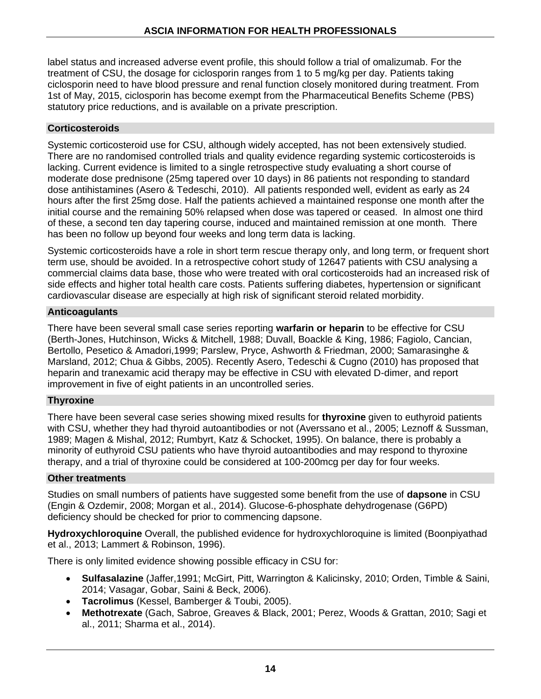label status and increased adverse event profile, this should follow a trial of omalizumab. For the treatment of CSU, the dosage for ciclosporin ranges from 1 to 5 mg/kg per day. Patients taking ciclosporin need to have blood pressure and renal function closely monitored during treatment. From 1st of May, 2015, ciclosporin has become exempt from the Pharmaceutical Benefits Scheme (PBS) statutory price reductions, and is available on a private prescription.

#### **Corticosteroids**

Systemic corticosteroid use for CSU, although widely accepted, has not been extensively studied. There are no randomised controlled trials and quality evidence regarding systemic corticosteroids is lacking. Current evidence is limited to a single retrospective study evaluating a short course of moderate dose prednisone (25mg tapered over 10 days) in 86 patients not responding to standard dose antihistamines (Asero & Tedeschi, 2010). All patients responded well, evident as early as 24 hours after the first 25mg dose. Half the patients achieved a maintained response one month after the initial course and the remaining 50% relapsed when dose was tapered or ceased. In almost one third of these, a second ten day tapering course, induced and maintained remission at one month. There has been no follow up beyond four weeks and long term data is lacking.

Systemic corticosteroids have a role in short term rescue therapy only, and long term, or frequent short term use, should be avoided. In a retrospective cohort study of 12647 patients with CSU analysing a commercial claims data base, those who were treated with oral corticosteroids had an increased risk of side effects and higher total health care costs. Patients suffering diabetes, hypertension or significant cardiovascular disease are especially at high risk of significant steroid related morbidity.

#### **Anticoagulants**

There have been several small case series reporting **warfarin or heparin** to be effective for CSU (Berth-Jones, Hutchinson, Wicks & Mitchell, 1988; Duvall, Boackle & King, 1986; Fagiolo, Cancian, Bertollo, Pesetico & Amadori,1999; Parslew, Pryce, Ashworth & Friedman, 2000; Samarasinghe & Marsland, 2012; Chua & Gibbs, 2005). Recently Asero, Tedeschi & Cugno (2010) has proposed that heparin and tranexamic acid therapy may be effective in CSU with elevated D-dimer, and report improvement in five of eight patients in an uncontrolled series.

#### **Thyroxine**

There have been several case series showing mixed results for **thyroxine** given to euthyroid patients with CSU, whether they had thyroid autoantibodies or not (Averssano et al., 2005; Leznoff & Sussman, 1989; Magen & Mishal, 2012; Rumbyrt, Katz & Schocket, 1995). On balance, there is probably a minority of euthyroid CSU patients who have thyroid autoantibodies and may respond to thyroxine therapy, and a trial of thyroxine could be considered at 100-200mcg per day for four weeks.

#### **Other treatments**

Studies on small numbers of patients have suggested some benefit from the use of **dapsone** in CSU (Engin & Ozdemir, 2008; Morgan et al., 2014). Glucose-6-phosphate dehydrogenase (G6PD) deficiency should be checked for prior to commencing dapsone.

**Hydroxychloroquine** Overall, the published evidence for hydroxychloroquine is limited (Boonpiyathad et al., 2013; Lammert & Robinson, 1996).

There is only limited evidence showing possible efficacy in CSU for:

- **Sulfasalazine** (Jaffer,1991; McGirt, Pitt, Warrington & Kalicinsky, 2010; Orden, Timble & Saini, 2014; Vasagar, Gobar, Saini & Beck, 2006).
- **Tacrolimus** (Kessel, Bamberger & Toubi, 2005).
- **Methotrexate** (Gach, Sabroe, Greaves & Black, 2001; Perez, Woods & Grattan, 2010; Sagi et al., 2011; Sharma et al., 2014).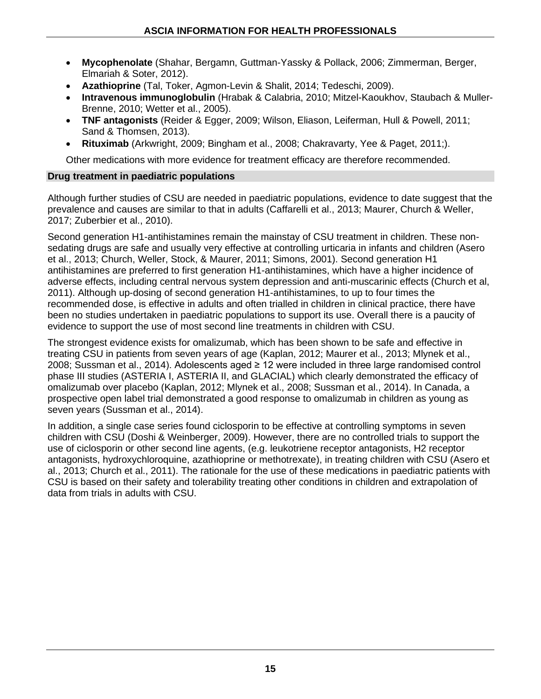- **Mycophenolate** (Shahar, Bergamn, Guttman-Yassky & Pollack, 2006; Zimmerman, Berger, Elmariah & Soter, 2012).
- **Azathioprine** (Tal, Toker, Agmon-Levin & Shalit, 2014; Tedeschi, 2009).
- **Intravenous immunoglobulin** (Hrabak & Calabria, 2010; Mitzel-Kaoukhov, Staubach & Muller-Brenne, 2010; Wetter et al., 2005).
- **TNF antagonists** (Reider & Egger, 2009; Wilson, Eliason, Leiferman, Hull & Powell, 2011; Sand & Thomsen, 2013).
- **Rituximab** (Arkwright, 2009; Bingham et al., 2008; Chakravarty, Yee & Paget, 2011;).

Other medications with more evidence for treatment efficacy are therefore recommended.

#### **Drug treatment in paediatric populations**

Although further studies of CSU are needed in paediatric populations, evidence to date suggest that the prevalence and causes are similar to that in adults (Caffarelli et al., 2013; Maurer, Church & Weller, 2017; Zuberbier et al., 2010).

Second generation H1-antihistamines remain the mainstay of CSU treatment in children. These nonsedating drugs are safe and usually very effective at controlling urticaria in infants and children (Asero et al., 2013; Church, Weller, Stock, & Maurer, 2011; Simons, 2001). Second generation H1 antihistamines are preferred to first generation H1-antihistamines, which have a higher incidence of adverse effects, including central nervous system depression and anti-muscarinic effects (Church et al, 2011). Although up-dosing of second generation H1-antihistamines, to up to four times the recommended dose, is effective in adults and often trialled in children in clinical practice, there have been no studies undertaken in paediatric populations to support its use. Overall there is a paucity of evidence to support the use of most second line treatments in children with CSU.

The strongest evidence exists for omalizumab, which has been shown to be safe and effective in treating CSU in patients from seven years of age (Kaplan, 2012; Maurer et al., 2013; Mlynek et al., 2008; Sussman et al., 2014). Adolescents aged ≥ 12 were included in three large randomised control phase III studies (ASTERIA I, ASTERIA II, and GLACIAL) which clearly demonstrated the efficacy of omalizumab over placebo (Kaplan, 2012; Mlynek et al., 2008; Sussman et al., 2014). In Canada, a prospective open label trial demonstrated a good response to omalizumab in children as young as seven years (Sussman et al., 2014).

In addition, a single case series found ciclosporin to be effective at controlling symptoms in seven children with CSU (Doshi & Weinberger, 2009). However, there are no controlled trials to support the use of ciclosporin or other second line agents, (e.g. leukotriene receptor antagonists, H2 receptor antagonists, hydroxychloroquine, azathioprine or methotrexate), in treating children with CSU (Asero et al., 2013; Church et al., 2011). The rationale for the use of these medications in paediatric patients with CSU is based on their safety and tolerability treating other conditions in children and extrapolation of data from trials in adults with CSU.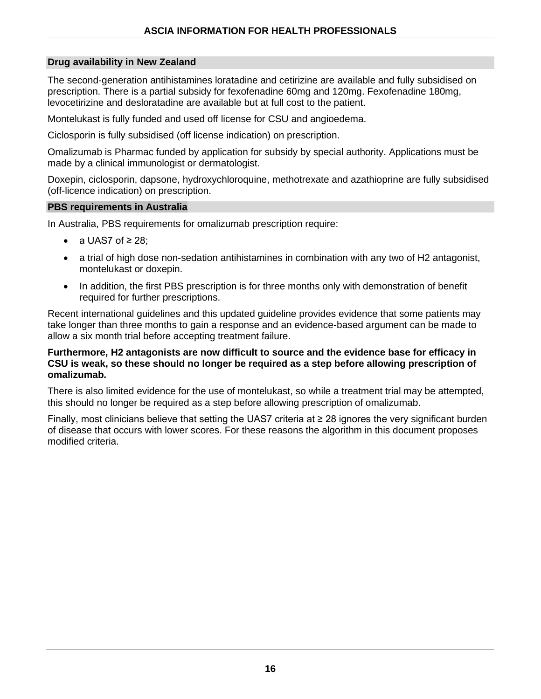#### **Drug availability in New Zealand**

The second-generation antihistamines loratadine and cetirizine are available and fully subsidised on prescription. There is a partial subsidy for fexofenadine 60mg and 120mg. Fexofenadine 180mg, levocetirizine and desloratadine are available but at full cost to the patient.

Montelukast is fully funded and used off license for CSU and angioedema.

Ciclosporin is fully subsidised (off license indication) on prescription.

Omalizumab is Pharmac funded by application for subsidy by special authority. Applications must be made by a clinical immunologist or dermatologist.

Doxepin, ciclosporin, dapsone, hydroxychloroquine, methotrexate and azathioprine are fully subsidised (off-licence indication) on prescription.

#### **PBS requirements in Australia**

In Australia, PBS requirements for omalizumab prescription require:

- a UAS7 of  $\geq$  28;
- a trial of high dose non-sedation antihistamines in combination with any two of H2 antagonist, montelukast or doxepin.
- In addition, the first PBS prescription is for three months only with demonstration of benefit required for further prescriptions.

Recent international guidelines and this updated guideline provides evidence that some patients may take longer than three months to gain a response and an evidence-based argument can be made to allow a six month trial before accepting treatment failure.

#### **Furthermore, H2 antagonists are now difficult to source and the evidence base for efficacy in CSU is weak, so these should no longer be required as a step before allowing prescription of omalizumab.**

There is also limited evidence for the use of montelukast, so while a treatment trial may be attempted, this should no longer be required as a step before allowing prescription of omalizumab.

Finally, most clinicians believe that setting the UAS7 criteria at ≥ 28 ignores the very significant burden of disease that occurs with lower scores. For these reasons the algorithm in this document proposes modified criteria.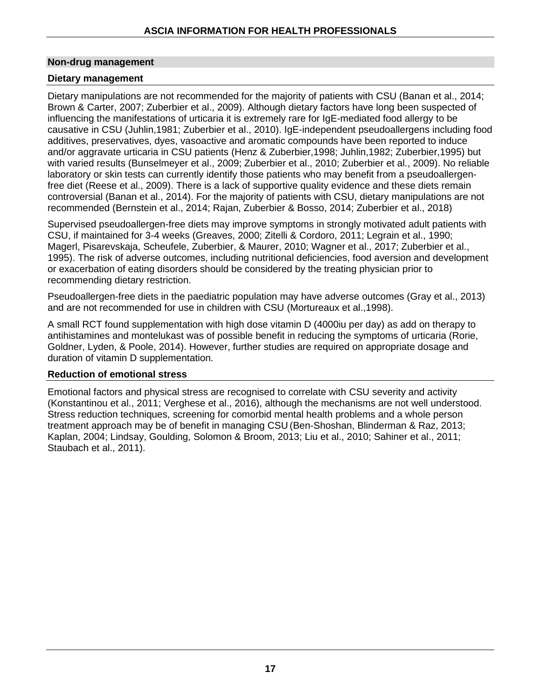#### **Non-drug management**

#### **Dietary management**

Dietary manipulations are not recommended for the majority of patients with CSU (Banan et al., 2014; Brown & Carter, 2007; Zuberbier et al., 2009). Although dietary factors have long been suspected of influencing the manifestations of urticaria it is extremely rare for IgE-mediated food allergy to be causative in CSU (Juhlin,1981; Zuberbier et al., 2010). IgE-independent pseudoallergens including food additives, preservatives, dyes, vasoactive and aromatic compounds have been reported to induce and/or aggravate urticaria in CSU patients (Henz & Zuberbier,1998; Juhlin,1982; Zuberbier,1995) but with varied results (Bunselmeyer et al., 2009; Zuberbier et al., 2010; Zuberbier et al., 2009). No reliable laboratory or skin tests can currently identify those patients who may benefit from a pseudoallergenfree diet (Reese et al., 2009). There is a lack of supportive quality evidence and these diets remain controversial (Banan et al., 2014). For the majority of patients with CSU, dietary manipulations are not recommended (Bernstein et al., 2014; Rajan, Zuberbier & Bosso, 2014; Zuberbier et al., 2018)

Supervised pseudoallergen-free diets may improve symptoms in strongly motivated adult patients with CSU, if maintained for 3-4 weeks (Greaves, 2000; Zitelli & Cordoro, 2011; Legrain et al., 1990; [Magerl,](http://www.ncbi.nlm.nih.gov/pubmed/?term=Magerl%20M%5BAuthor%5D&cauthor=true&cauthor_uid=19796222) [Pisarevskaja,](http://www.ncbi.nlm.nih.gov/pubmed/?term=Pisarevskaja%20D%5BAuthor%5D&cauthor=true&cauthor_uid=19796222) [Scheufele,](http://www.ncbi.nlm.nih.gov/pubmed/?term=Scheufele%20R%5BAuthor%5D&cauthor=true&cauthor_uid=19796222) [Zuberbier,](http://www.ncbi.nlm.nih.gov/pubmed/?term=Zuberbier%20T%5BAuthor%5D&cauthor=true&cauthor_uid=19796222) & Maure[r,](http://www.ncbi.nlm.nih.gov/pubmed/?term=Maurer%20M%5BAuthor%5D&cauthor=true&cauthor_uid=19796222) 2010; Wagner et al., 2017; Zuberbier et al., 1995). The risk of adverse outcomes, including nutritional deficiencies, food aversion and development or exacerbation of eating disorders should be considered by the treating physician prior to recommending dietary restriction.

Pseudoallergen-free diets in the paediatric population may have adverse outcomes (Gray et al., 2013) and are not recommended for use in children with CSU (Mortureaux et al.,1998).

A small RCT found supplementation with high dose vitamin D (4000iu per day) as add on therapy to antihistamines and montelukast was of possible benefit in reducing the symptoms of urticaria (Rorie, Goldner, Lyden, & Poole, 2014). However, further studies are required on appropriate dosage and duration of vitamin D supplementation.

#### **Reduction of emotional stress**

Emotional factors and physical stress are recognised to correlate with CSU severity and activity (Konstantinou et al., 2011; Verghese et al., 2016), although the mechanisms are not well understood. Stress reduction techniques, screening for comorbid mental health problems and a whole person treatment approach may be of benefit in managing CSU (Ben-Shoshan, Blinderman & Raz, 2013; Kaplan, 2004; Lindsay, Goulding, Solomon & Broom, 2013; Liu et al., 2010; Sahiner et al., 2011; Staubach et al., 2011).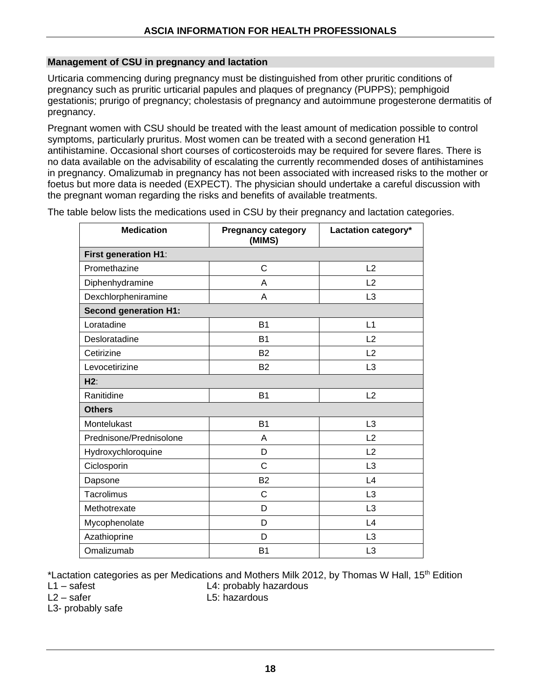#### **Management of CSU in pregnancy and lactation**

Urticaria commencing during pregnancy must be distinguished from other pruritic conditions of pregnancy such as pruritic urticarial papules and plaques of pregnancy (PUPPS); pemphigoid gestationis; prurigo of pregnancy; cholestasis of pregnancy and autoimmune progesterone dermatitis of pregnancy.

Pregnant women with CSU should be treated with the least amount of medication possible to control symptoms, particularly pruritus. Most women can be treated with a second generation H1 antihistamine. Occasional short courses of corticosteroids may be required for severe flares. There is no data available on the advisability of escalating the currently recommended doses of antihistamines in pregnancy. Omalizumab in pregnancy has not been associated with increased risks to the mother or foetus but more data is needed (EXPECT). The physician should undertake a careful discussion with the pregnant woman regarding the risks and benefits of available treatments.

**Medication Pregnancy category (MIMS) Lactation category\* First generation H1**: Promethazine C L2 Diphenhydramine and A L2 Dexchlorpheniramine and A L3 **Second generation H1:** Loratadine B1 L1 Desloratadine B1 L2 Cetirizine B2 L2 Levocetirizine B2 L3 **H2**: Ranitidine L2 **Others** Montelukast B1 L3 Prednisone/Prednisolone | A L2 Hydroxychloroquine D L2 Ciclosporin C C L3 Dapsone and B2 L4 Tacrolimus C L3 Methotrexate D L3 Mycophenolate **N** and D and L4 Azathioprine **D** L3 Omalizumab B1 L3

The table below lists the medications used in CSU by their pregnancy and lactation categories.

\*Lactation categories as per Medications and Mothers Milk 2012, by Thomas W Hall, 15<sup>th</sup> Edition

L1 – safest L4: probably hazardous

L3- probably safe

 $12 - \text{sater}$   $15 \text{ hazardous}$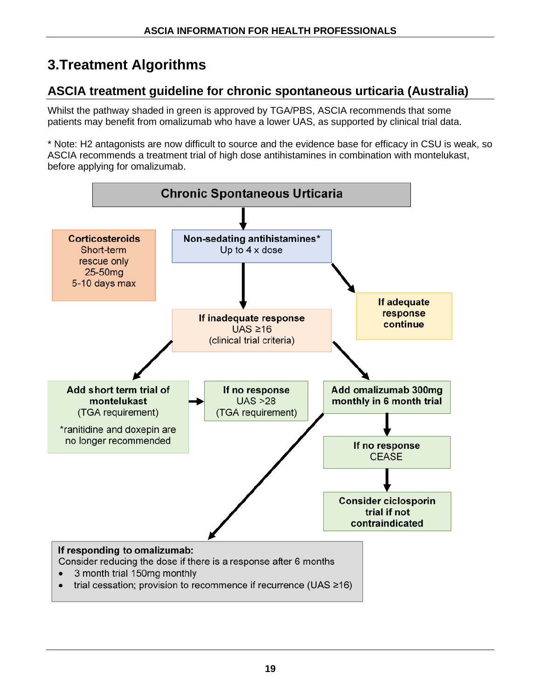## **3.Treatment Algorithms**

## **ASCIA treatment guideline for chronic spontaneous urticaria (Australia)**

Whilst the pathway shaded in green is approved by TGA/PBS, ASCIA recommends that some patients may benefit from omalizumab who have a lower UAS, as supported by clinical trial data.

\* Note: H2 antagonists are now difficult to source and the evidence base for efficacy in CSU is weak, so ASCIA recommends a treatment trial of high dose antihistamines in combination with montelukast, before applying for omalizumab.

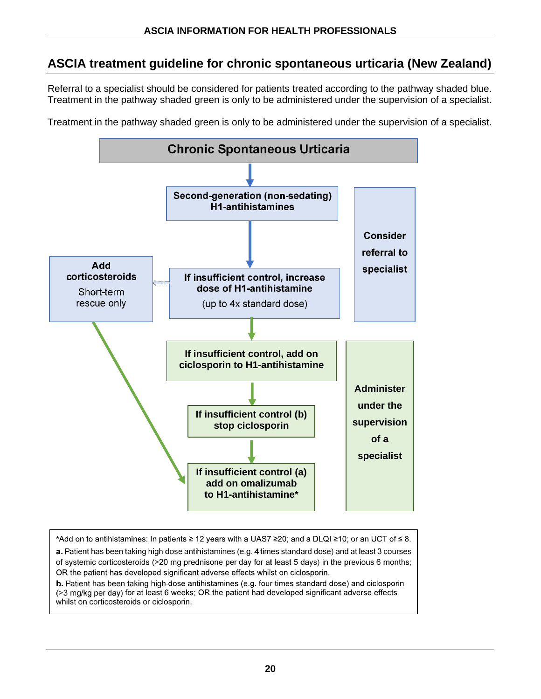## **ASCIA treatment guideline for chronic spontaneous urticaria (New Zealand)**

Referral to a specialist should be considered for patients treated according to the pathway shaded blue. Treatment in the pathway shaded green is only to be administered under the supervision of a specialist.

Treatment in the pathway shaded green is only to be administered under the supervision of a specialist.



\*Add on to antihistamines: In patients ≥ 12 years with a UAS7 ≥20; and a DLQI ≥10; or an UCT of ≤ 8. a. Patient has been taking high-dose antihistamines (e.g. 4 times standard dose) and at least 3 courses of systemic corticosteroids (>20 mg prednisone per day for at least 5 days) in the previous 6 months; OR the patient has developed significant adverse effects whilst on ciclosporin.

b. Patient has been taking high-dose antihistamines (e.g. four times standard dose) and ciclosporin (>3 mg/kg per day) for at least 6 weeks; OR the patient had developed significant adverse effects whilst on corticosteroids or ciclosporin.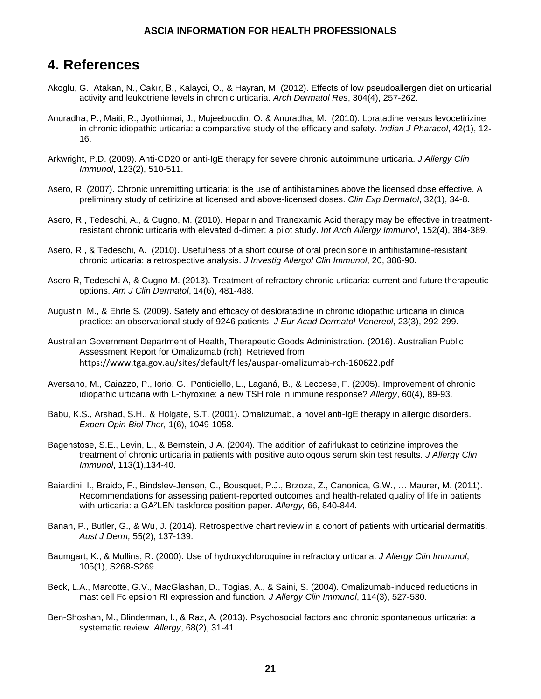## **4. References**

- [Akoglu, G.](http://www.ncbi.nlm.nih.gov/pubmed/?term=Akoglu%20G%5BAuthor%5D&cauthor=true&cauthor_uid=22200952), [Atakan, N.](http://www.ncbi.nlm.nih.gov/pubmed/?term=Atakan%20N%5BAuthor%5D&cauthor=true&cauthor_uid=22200952), [Cakır, B.](http://www.ncbi.nlm.nih.gov/pubmed/?term=Cak%C4%B1r%20B%5BAuthor%5D&cauthor=true&cauthor_uid=22200952), [Kalayci, O.](http://www.ncbi.nlm.nih.gov/pubmed/?term=Kalayci%20O%5BAuthor%5D&cauthor=true&cauthor_uid=22200952), & [Hayran, M.](http://www.ncbi.nlm.nih.gov/pubmed/?term=Hayran%20M%5BAuthor%5D&cauthor=true&cauthor_uid=22200952) (2012). Effects of low pseudoallergen diet on urticarial activity and leukotriene levels in chronic urticaria. *Arch Dermatol Res*, 304(4), 257-262.
- Anuradha, P., Maiti, R., Jyothirmai, J., Mujeebuddin, O. & Anuradha, M. (2010). Loratadine versus levocetirizine in chronic idiopathic urticaria: a comparative study of the efficacy and safety. *Indian J Pharacol*, 42(1), 12- 16.
- Arkwright, P.D. (2009). Anti-CD20 or anti-IgE therapy for severe chronic autoimmune urticaria. *J Allergy Clin Immunol*, 123(2), 510-511.
- Asero, R. (2007). Chronic unremitting urticaria: is the use of antihistamines above the licensed dose effective. A preliminary study of cetirizine at licensed and above-licensed doses. *Clin Exp Dermatol*, 32(1), 34-8.
- Asero, R., Tedeschi, A., & Cugno, M. (2010). Heparin and Tranexamic Acid therapy may be effective in treatmentresistant chronic urticaria with elevated d-dimer: a pilot study. *Int Arch Allergy Immunol*, 152(4), 384-389.
- Asero, R., & Tedeschi, A. (2010). Usefulness of a short course of oral prednisone in antihistamine-resistant chronic urticaria: a retrospective analysis. *J Investig Allergol Clin Immunol*, 20, 386-90.
- Asero R, Tedeschi A, & Cugno M. (2013). Treatment of refractory chronic urticaria: current and future therapeutic options. *Am J Clin Dermatol*, 14(6), 481-488.
- Augustin, M., & Ehrle S. (2009). Safety and efficacy of desloratadine in chronic idiopathic urticaria in clinical practice: an observational study of 9246 patients. *J Eur Acad Dermatol Venereol*, 23(3), 292-299.
- Australian Government Department of Health, Therapeutic Goods Administration. (2016). Australian Public Assessment Report for Omalizumab (rch). Retrieved from <https://www.tga.gov.au/sites/default/files/auspar-omalizumab-rch-160622.pdf>
- Aversano, M., Caiazzo, P., Iorio, G., Ponticiello, L., Laganá, B., & Leccese, F. (2005). Improvement of chronic idiopathic urticaria with L-thyroxine: a new TSH role in immune response? *Allergy*, 60(4), 89-93.
- Babu, K.S., Arshad, S.H., & Holgate, S.T. (2001). Omalizumab, a novel anti-IgE therapy in allergic disorders. *Expert Opin Biol Ther,* 1(6), 1049-1058.
- Bagenstose, S.E., Levin, L., & Bernstein, J.A. (2004). The addition of zafirlukast to cetirizine improves the treatment of chronic urticaria in patients with positive autologous serum skin test results. *J Allergy Clin Immunol*, 113(1),134-40.
- Baiardini, I., Braido, F., Bindslev-Jensen, C., Bousquet, P.J., Brzoza, Z., Canonica, G.W., … Maurer, M. (2011). Recommendations for assessing patient-reported outcomes and health-related quality of life in patients with urticaria: a GA<sup>2</sup>LEN taskforce position paper. *Allergy,* 66, 840-844.
- Banan, P., Butler, G., & Wu, J. (2014). Retrospective chart review in a cohort of patients with urticarial dermatitis. *Aust J Derm,* 55(2), 137-139.
- Baumgart, K., & Mullins, R. (2000). Use of hydroxychloroquine in refractory urticaria. *J Allergy Clin Immunol*, 105(1), S268-S269.
- Beck, L.A., Marcotte, G.V., MacGlashan, D., Togias, A., & Saini, S. (2004). Omalizumab-induced reductions in mast cell Fc epsilon RI expression and function. *J Allergy Clin Immunol*, 114(3), 527-530.
- Ben-Shoshan, M., Blinderman, I., & Raz, A. (2013). Psychosocial factors and chronic spontaneous urticaria: a systematic review. *Allergy*, 68(2), 31-41.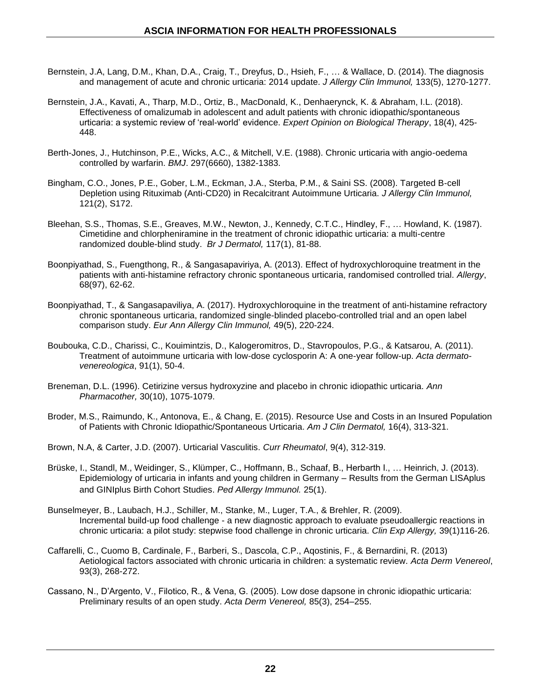- Bernstein, J.A, Lang, D.M., Khan, D.A., Craig, T., Dreyfus, D., Hsieh, F., … & Wallace, D. (2014). The diagnosis and management of acute and chronic urticaria: 2014 update. *J Allergy Clin Immunol,* 133(5), 1270-1277.
- Bernstein, J.A., Kavati, A., Tharp, M.D., Ortiz, B., MacDonald, K., Denhaerynck, K. & Abraham, I.L. (2018). Effectiveness of omalizumab in adolescent and adult patients with chronic idiopathic/spontaneous urticaria: a systemic review of 'real-world' evidence. *Expert Opinion on Biological Therapy*, 18(4), 425- 448.
- Berth-Jones, J., Hutchinson, P.E., Wicks, A.C., & Mitchell, V.E. (1988). Chronic urticaria with angio-oedema controlled by warfarin. *BMJ*. 297(6660), 1382-1383.
- Bingham, C.O., Jones, P.E., Gober, L.M., Eckman, J.A., Sterba, P.M., & Saini SS. (2008). Targeted B-cell Depletion using Rituximab (Anti-CD20) in Recalcitrant Autoimmune Urticaria. *J Allergy Clin Immunol,* 121(2), S172.
- Bleehan, S.S., Thomas, S.E., Greaves, M.W., Newton, J., Kennedy, C.T.C., Hindley, F., … Howland, K. (1987). Cimetidine and chlorpheniramine in the treatment of chronic idiopathic urticaria: a multi-centre randomized double-blind study. *Br J Dermatol,* 117(1), 81-88.
- Boonpiyathad, S., Fuengthong, R., & Sangasapaviriya, A. (2013). Effect of hydroxychloroquine treatment in the patients with anti-histamine refractory chronic spontaneous urticaria, randomised controlled trial. *Allergy*, 68(97), 62-62.
- Boonpiyathad, T., & Sangasapaviliya, A. (2017). Hydroxychloroquine in the treatment of anti-histamine refractory chronic spontaneous urticaria, randomized single-blinded placebo-controlled trial and an open label comparison study. *Eur Ann Allergy Clin Immunol,* 49(5), 220-224.
- Boubouka, C.D., Charissi, C., Kouimintzis, D., Kalogeromitros, D., Stavropoulos, P.G., & Katsarou, A. (2011). Treatment of autoimmune urticaria with low-dose cyclosporin A: A one-year follow-up. *Acta dermatovenereologica*, 91(1), 50-4.
- Breneman, D.L. (1996). Cetirizine versus hydroxyzine and placebo in chronic idiopathic urticaria. *Ann Pharmacother,* 30(10), 1075-1079.
- Broder, M.S., Raimundo, K., Antonova, E., & Chang, E. (2015). Resource Use and Costs in an Insured Population of Patients with Chronic Idiopathic/Spontaneous Urticaria. *Am J Clin Dermatol,* 16(4), 313-321.
- Brown, N.A, & Carter, J.D. (2007). Urticarial Vasculitis. *Curr Rheumatol*, 9(4), 312-319.
- Brüske, I., Standl, M., Weidinger, S., Klümper, C., Hoffmann, B., Schaaf, B., Herbarth I., … Heinrich, J. (2013). Epidemiology of urticaria in infants and young children in Germany – Results from the German LISAplus and GINIplus Birth Cohort Studies. *Ped Allergy Immunol.* 25(1).
- [Bunselmeyer, B.](http://www.ncbi.nlm.nih.gov/pubmed/?term=Bunselmeyer%20B%5BAuthor%5D&cauthor=true&cauthor_uid=19137651), [Laubach, H.J.](http://www.ncbi.nlm.nih.gov/pubmed/?term=Laubach%20HJ%5BAuthor%5D&cauthor=true&cauthor_uid=19137651), [Schiller, M.](http://www.ncbi.nlm.nih.gov/pubmed/?term=Schiller%20M%5BAuthor%5D&cauthor=true&cauthor_uid=19137651), [Stanke, M.](http://www.ncbi.nlm.nih.gov/pubmed/?term=Stanke%20M%5BAuthor%5D&cauthor=true&cauthor_uid=19137651), [Luger, T.A.](http://www.ncbi.nlm.nih.gov/pubmed/?term=Luger%20TA%5BAuthor%5D&cauthor=true&cauthor_uid=19137651), & [Brehler, R.](http://www.ncbi.nlm.nih.gov/pubmed/?term=Brehler%20R%5BAuthor%5D&cauthor=true&cauthor_uid=19137651) (2009). Incremental build-up food challenge - a new diagnostic approach to evaluate pseudoallergic reactions in chronic urticaria: a pilot study: stepwise food challenge in chronic urticaria. *Clin Exp Allergy,* 39(1)116-26.
- Caffarelli, C., Cuomo B, Cardinale, F., Barberi, S., Dascola, C.P., Aqostinis, F., & Bernardini, R. (2013) Aetiological factors associated with chronic urticaria in children: a systematic review. *Acta Derm Venereol*, 93(3), 268-272.
- Cassano, N., D'Argento, V., Filotico, R., & Vena, G. (2005). Low dose dapsone in chronic idiopathic urticaria: Preliminary results of an open study. *Acta Derm Venereol,* 85(3), 254–255.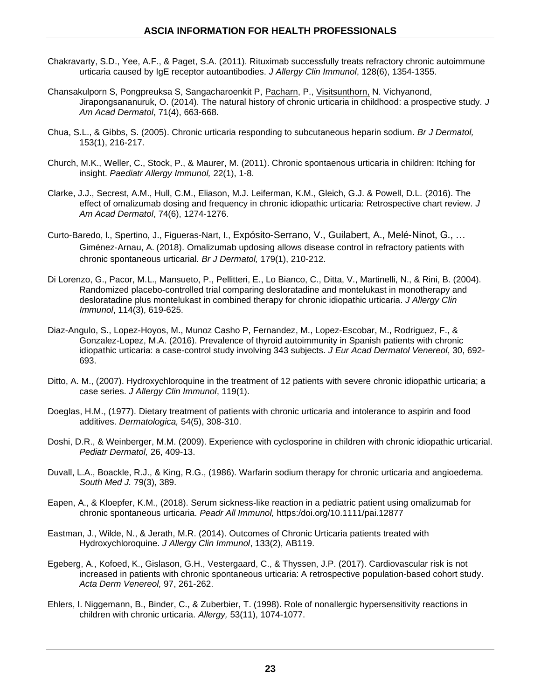- Chakravarty, S.D., Yee, A.F., & Paget, S.A. (2011). Rituximab successfully treats refractory chronic autoimmune urticaria caused by IgE receptor autoantibodies. *J Allergy Clin Immunol*, 128(6), 1354-1355.
- Chansakulporn S, Pongpreuksa S, Sangacharoenkit P, [Pacharn,](javascript:void(0);) P., [Visitsunthorn,](javascript:void(0);) N. [Vichyanond,](javascript:void(0);) [Jirapongsananuruk,](javascript:void(0);) O. (2014). The natural history of chronic urticaria in childhood: a prospective study. *J Am Acad Dermatol*, 71(4), 663-668.
- Chua, S.L., & Gibbs, S. (2005). Chronic urticaria responding to subcutaneous heparin sodium. *Br J Dermatol,*  153(1), 216-217.
- Church, M.K., Weller, C., Stock, P., & Maurer, M. (2011). Chronic spontaenous urticaria in children: Itching for insight. *Paediatr Allergy Immunol,* 22(1), 1-8.
- Clarke, J.J., Secrest, A.M., Hull, C.M., Eliason, M.J. Leiferman, K.M., Gleich, G.J. & Powell, D.L. (2016). The effect of omalizumab dosing and frequency in chronic idiopathic urticaria: Retrospective chart review. *J Am Acad Dermatol*, 74(6), 1274-1276.
- Curto-Baredo, l., Spertino, J., Figueras-Nart, I., [Expósito](https://onlinelibrary.wiley.com/action/doSearch?ContribAuthorStored=Exp%C3%B3sito-Serrano%2C+V)‐Serrano, V., [Guilabert,](https://onlinelibrary.wiley.com/action/doSearch?ContribAuthorStored=Guilabert%2C+A) A., Melé‐Ninot, G., … [Giménez](https://onlinelibrary.wiley.com/action/doSearch?ContribAuthorStored=Gim%C3%A9nez-Arnau%2C+A)‐Arnau, A. (2018). Omalizumab updosing allows disease control in refractory patients with chronic spontaneous urticarial. *Br J Dermatol,* 179(1), 210-212.
- Di Lorenzo, G., Pacor, M.L., Mansueto, P., Pellitteri, E., Lo Bianco, C., Ditta, V., Martinelli, N., & Rini, B. (2004). Randomized placebo-controlled trial comparing desloratadine and montelukast in monotherapy and desloratadine plus montelukast in combined therapy for chronic idiopathic urticaria. *J Allergy Clin Immunol*, 114(3), 619-625.
- Diaz-Angulo, S., Lopez-Hoyos, M., Munoz Casho P, Fernandez, M., Lopez-Escobar, M., Rodriguez, F., & Gonzalez-Lopez, M.A. (2016). Prevalence of thyroid autoimmunity in Spanish patients with chronic idiopathic urticaria: a case-control study involving 343 subjects. *J Eur Acad Dermatol Venereol*, 30, 692- 693.
- Ditto, A. M., (2007). Hydroxychloroquine in the treatment of 12 patients with severe chronic idiopathic urticaria; a case series. *J Allergy Clin Immunol*, 119(1).
- Doeglas, H.M., (1977). [Dietary treatment of patients with chronic urticaria and intolerance to aspirin and food](http://www.ncbi.nlm.nih.gov/pubmed/863074)  [additives.](http://www.ncbi.nlm.nih.gov/pubmed/863074) *Dermatologica,* 54(5), 308-310.
- Doshi, D.R., & Weinberger, M.M. (2009). Experience with cyclosporine in children with chronic idiopathic urticarial. *Pediatr Dermatol,* 26, 409-13.
- Duvall, L.A., Boackle, R.J., & King, R.G., (1986). Warfarin sodium therapy for chronic urticaria and angioedema. *South Med J.* 79(3), 389.
- Eapen, A., & Kloepfer, K.M., (2018). Serum sickness-like reaction in a pediatric patient using omalizumab for chronic spontaneous urticaria. *Peadr All Immunol,* https:/doi.org/10.1111/pai.12877
- Eastman, J., Wilde, N., & Jerath, M.R. (2014). Outcomes of Chronic Urticaria patients treated with Hydroxychloroquine. *J Allergy Clin Immunol*, 133(2), AB119.
- Egeberg, A., Kofoed, K., Gislason, G.H., Vestergaard, C., & Thyssen, J.P. (2017). Cardiovascular risk is not increased in patients with chronic spontaneous urticaria: A retrospective population-based cohort study. *Acta Derm Venereol,* 97, 261-262.
- [Ehlers,](http://www.ncbi.nlm.nih.gov/pubmed/?term=Ehlers%20I%5BAuthor%5D&cauthor=true&cauthor_uid=9860240) I. [Niggemann,](http://www.ncbi.nlm.nih.gov/pubmed/?term=Niggemann%20B%5BAuthor%5D&cauthor=true&cauthor_uid=9860240) B., [Binder,](http://www.ncbi.nlm.nih.gov/pubmed/?term=Binder%20C%5BAuthor%5D&cauthor=true&cauthor_uid=9860240) C., & [Zuberbier,](http://www.ncbi.nlm.nih.gov/pubmed/?term=Zuberbier%20T%5BAuthor%5D&cauthor=true&cauthor_uid=9860240) T. (1998). Role of nonallergic hypersensitivity reactions in children with chronic urticaria. *Allergy,* 53(11), 1074-1077.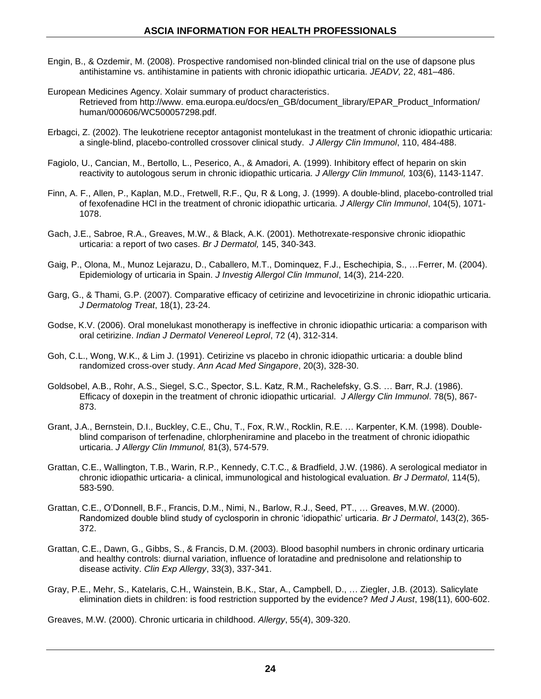- Engin, B., & Ozdemir, M. (2008). Prospective randomised non-blinded clinical trial on the use of dapsone plus antihistamine vs. antihistamine in patients with chronic idiopathic urticaria. *JEADV,* 22, 481–486.
- European Medicines Agency. Xolair summary of product characteristics. Retrieved from [http://www.](http://www/) ema.europa.eu/docs/en\_GB/document\_library/EPAR\_Product\_Information/ human/000606/WC500057298.pdf.
- Erbagci, Z. (2002). The leukotriene receptor antagonist montelukast in the treatment of chronic idiopathic urticaria: a single-blind, placebo-controlled crossover clinical study. *J Allergy Clin Immunol*, 110, 484-488.
- Fagiolo, U., Cancian, M., Bertollo, L., Peserico, A., & Amadori, A. (1999). Inhibitory effect of heparin on skin reactivity to autologous serum in chronic idiopathic urticaria. *J Allergy Clin Immunol,* 103(6), 1143-1147.
- Finn, A. F., Allen, P., Kaplan, M.D., Fretwell, R.F., Qu, R & Long, J. (1999). A double-blind, placebo-controlled trial of fexofenadine HCl in the treatment of chronic idiopathic urticaria. *J Allergy Clin Immunol*, 104(5), 1071- 1078.
- Gach, J.E., Sabroe, R.A., Greaves, M.W., & Black, A.K. (2001). Methotrexate-responsive chronic idiopathic urticaria: a report of two cases. *Br J Dermatol,* 145, 340-343.
- Gaig, P., Olona, M., Munoz Lejarazu, D., Caballero, M.T., Dominquez, F.J., Eschechipia, S., …Ferrer, M. (2004). Epidemiology of urticaria in Spain. *J Investig Allergol Clin Immunol*, 14(3), 214-220.
- Garg, G., & Thami, G.P. (2007). Comparative efficacy of cetirizine and levocetirizine in chronic idiopathic urticaria. *J Dermatolog Treat*, 18(1), 23-24.
- Godse, K.V. (2006). Oral monelukast monotherapy is ineffective in chronic idiopathic urticaria: a comparison with oral cetirizine. *Indian J Dermatol Venereol Leprol*, 72 (4), 312-314.
- Goh, C.L., Wong, W.K., & Lim J. (1991). Cetirizine vs placebo in chronic idiopathic urticaria: a double blind randomized cross-over study. *Ann Acad Med Singapore*, 20(3), 328-30.
- Goldsobel, A.B., Rohr, A.S., Siegel, S.C., Spector, S.L. Katz, R.M., Rachelefsky, G.S. … Barr, R.J. (1986). Efficacy of doxepin in the treatment of chronic idiopathic urticarial. *J Allergy Clin Immunol*. 78(5), 867- 873.
- Grant, J.A., Bernstein, D.I., Buckley, C.E., Chu, T., Fox, R.W., Rocklin, R.E. … Karpenter, K.M. (1998). Doubleblind comparison of terfenadine, chlorpheniramine and placebo in the treatment of chronic idiopathic urticaria. *J Allergy Clin Immunol,* 81(3), 574-579.
- Grattan, C.E., Wallington, T.B., Warin, R.P., Kennedy, C.T.C., & Bradfield, J.W. (1986). A serological mediator in chronic idiopathic urticaria- a clinical, immunological and histological evaluation. *Br J Dermatol*, 114(5), 583-590.
- Grattan, C.E., O'Donnell, B.F., Francis, D.M., Nimi, N., Barlow, R.J., Seed, PT., … Greaves, M.W. (2000). Randomized double blind study of cyclosporin in chronic 'idiopathic' urticaria. *Br J Dermatol*, 143(2), 365- 372.
- Grattan, C.E., Dawn, G., Gibbs, S., & Francis, D.M. (2003). Blood basophil numbers in chronic ordinary urticaria and healthy controls: diurnal variation, influence of loratadine and prednisolone and relationship to disease activity. *Clin Exp Allergy*, 33(3), 337-341.
- Gray, P.E., Mehr, S., Katelaris, C.H., Wainstein, B.K., Star, A., Campbell, D., … Ziegler, J.B. (2013). Salicylate elimination diets in children: is food restriction supported by the evidence? *Med J Aust*, 198(11), 600-602.

Greaves, M.W. (2000). Chronic urticaria in childhood. *Allergy*, 55(4), 309-320.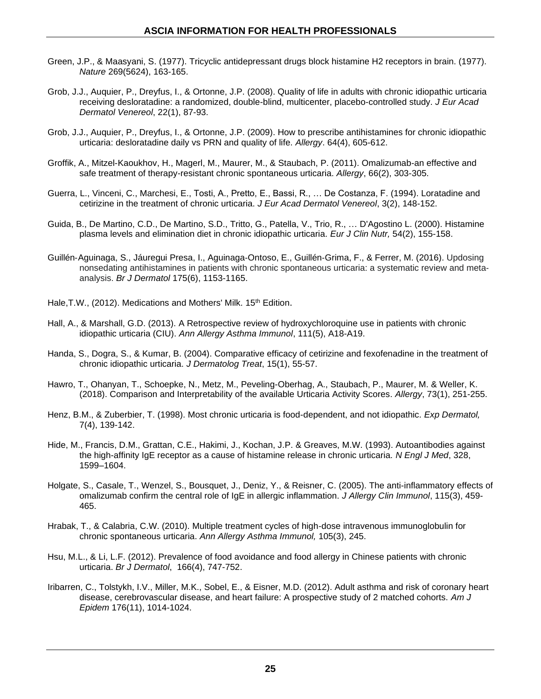- Green, J.P., & Maasyani, S. (1977). Tricyclic antidepressant drugs block histamine H2 receptors in brain. (1977). *Nature* 269(5624), 163-165.
- Grob, J.J., Auquier, P., Dreyfus, I., & Ortonne, J.P. (2008). Quality of life in adults with chronic idiopathic urticaria receiving desloratadine: a randomized, double-blind, multicenter, placebo-controlled study. *J Eur Acad Dermatol Venereol*, 22(1), 87-93.
- Grob, J.J., Auquier, P., Dreyfus, I., & Ortonne, J.P. (2009). How to prescribe antihistamines for chronic idiopathic urticaria: desloratadine daily vs PRN and quality of life. *Allergy*. 64(4), 605-612.
- Groffik, A., Mitzel-Kaoukhov, H., Magerl, M., Maurer, M., & Staubach, P. (2011). Omalizumab-an effective and safe treatment of therapy-resistant chronic spontaneous urticaria. *Allergy*, 66(2), 303-305.
- Guerra, L., Vinceni, C., Marchesi, E., Tosti, A., Pretto, E., Bassi, R., … De Costanza, F. (1994). Loratadine and cetirizine in the treatment of chronic urticaria. *J Eur Acad Dermatol Venereol*, 3(2), 148-152.
- [Guida,](http://www.ncbi.nlm.nih.gov/pubmed/?term=Guida%20B%5BAuthor%5D&cauthor=true&cauthor_uid=10694787) B., [De Martino,](http://www.ncbi.nlm.nih.gov/pubmed/?term=De%20Martino%20CD%5BAuthor%5D&cauthor=true&cauthor_uid=10694787) C.D., [De Martino,](http://www.ncbi.nlm.nih.gov/pubmed/?term=De%20Martino%20SD%5BAuthor%5D&cauthor=true&cauthor_uid=10694787) S.D., [Tritto,](http://www.ncbi.nlm.nih.gov/pubmed/?term=Tritto%20G%5BAuthor%5D&cauthor=true&cauthor_uid=10694787) G., [Patella,](http://www.ncbi.nlm.nih.gov/pubmed/?term=Patella%20V%5BAuthor%5D&cauthor=true&cauthor_uid=10694787) V., [Trio,](http://www.ncbi.nlm.nih.gov/pubmed/?term=Trio%20R%5BAuthor%5D&cauthor=true&cauthor_uid=10694787) R., … [D'Agostino L.](http://www.ncbi.nlm.nih.gov/pubmed/?term=D) (2000). Histamine plasma levels and elimination diet in chronic idiopathic urticaria. *[Eur J Clin Nutr,](http://www.ncbi.nlm.nih.gov/pubmed/10694787)* 54(2), 155-158.
- Guillén‐[Aguinaga,](https://onlinelibrary.wiley.com/action/doSearch?ContribAuthorStored=Guill%C3%A9n-Aguinaga%2C+S) S., [Jáuregui Presa,](https://onlinelibrary.wiley.com/action/doSearch?ContribAuthorStored=J%C3%A1uregui+Presa%2C+I) I., Aguinaga‐Ontoso, E., Guillén‐Grima, F., & Ferrer, M. (2016). Updosing nonsedating antihistamines in patients with chronic spontaneous urticaria: a systematic review and meta‐ analysis. *Br J Dermatol* [175\(6\)](https://onlinelibrary.wiley.com/toc/13652133/2016/175/6), 1153-1165.
- Hale, T.W., (2012). Medications and Mothers' Milk. 15<sup>th</sup> Edition.
- Hall, A., & Marshall, G.D. (2013). A Retrospective review of hydroxychloroquine use in patients with chronic idiopathic urticaria (CIU). *Ann Allergy Asthma Immunol*, 111(5), A18-A19.
- Handa, S., Dogra, S., & Kumar, B. (2004). Comparative efficacy of cetirizine and fexofenadine in the treatment of chronic idiopathic urticaria. *J Dermatolog Treat*, 15(1), 55-57.
- Hawro, T., Ohanyan, T., Schoepke, N., Metz, M., Peveling-Oberhag, A., Staubach, P., Maurer, M. & Weller, K. (2018). Comparison and Interpretability of the available Urticaria Activity Scores. *Allergy*, 73(1), 251-255.
- Henz, B.M., & Zuberbier, T. (1998). Most chronic urticaria is food-dependent, and not idiopathic. *Exp Dermatol,* 7(4), 139-142.
- Hide, M., Francis, D.M., Grattan, C.E., Hakimi, J., Kochan, J.P. & Greaves, M.W. (1993). Autoantibodies against the high-affinity IgE receptor as a cause of histamine release in chronic urticaria. *N Engl J Med*, 328, 1599–1604.
- Holgate, S., Casale, T., Wenzel, S., Bousquet, J., Deniz, Y., & Reisner, C. (2005). The anti-inflammatory effects of omalizumab confirm the central role of IgE in allergic inflammation. *J Allergy Clin Immunol*, 115(3), 459- 465.
- Hrabak, T., & Calabria, C.W. (2010). Multiple treatment cycles of high-dose intravenous immunoglobulin for chronic spontaneous urticaria. *Ann Allergy Asthma Immunol,* 105(3), 245.
- Hsu, M.L., & Li, L.F. (2012). Prevalence of food avoidance and food allergy in Chinese patients with chronic urticaria. *Br J Dermatol*, 166(4), 747-752.
- Iribarren, C., Tolstykh, I.V., Miller, M.K., Sobel, E., & Eisner, M.D. (2012). Adult asthma and risk of coronary heart disease, cerebrovascular disease, and heart failure: A prospective study of 2 matched cohorts. *Am J Epidem* 176(11), 1014-1024.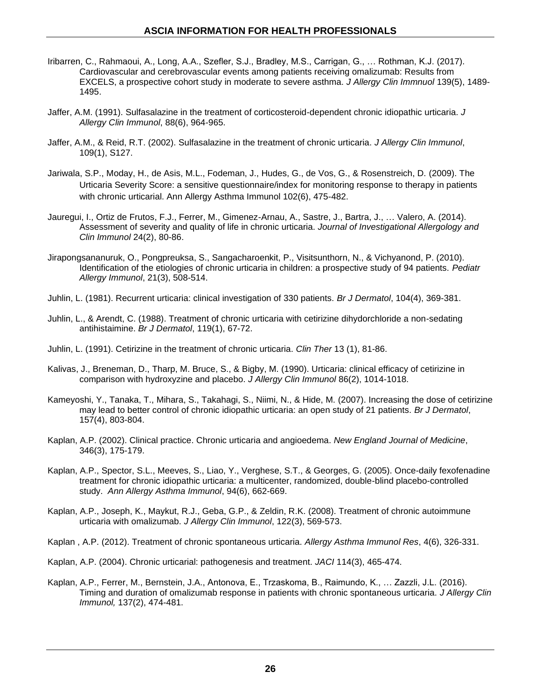- Iribarren, C., Rahmaoui, A., Long, A.A., Szefler, S.J., Bradley, M.S., Carrigan, G., … Rothman, K.J. (2017). Cardiovascular and cerebrovascular events among patients receiving omalizumab: Results from EXCELS, a prospective cohort study in moderate to severe asthma. *J Allergy Clin Immnuol* 139(5), 1489- 1495.
- Jaffer, A.M. (1991). Sulfasalazine in the treatment of corticosteroid-dependent chronic idiopathic urticaria. *J Allergy Clin Immunol*, 88(6), 964-965.
- Jaffer, A.M., & Reid, R.T. (2002). Sulfasalazine in the treatment of chronic urticaria. *J Allergy Clin Immunol*, 109(1), S127.
- Jariwala, S.P., Moday, H., de Asis, M.L., Fodeman, J., Hudes, G., de Vos, G., & Rosenstreich, D. (2009). The Urticaria Severity Score: a sensitive questionnaire/index for monitoring response to therapy in patients with chronic urticarial. Ann Allergy Asthma Immunol 102(6), 475-482.
- Jauregui, I., Ortiz de Frutos, F.J., Ferrer, M., Gimenez-Arnau, A., Sastre, J., Bartra, J., … Valero, A. (2014). Assessment of severity and quality of life in chronic urticaria. *Journal of Investigational Allergology and Clin Immunol* 24(2), 80-86.
- Jirapongsananuruk, O., Pongpreuksa, S., Sangacharoenkit, P., Visitsunthorn, N., & Vichyanond, P. (2010). Identification of the etiologies of chronic urticaria in children: a prospective study of 94 patients. *Pediatr Allergy Immunol*, 21(3), 508-514.
- Juhlin, L. (1981). Recurrent urticaria: clinical investigation of 330 patients. *Br J Dermatol*, 104(4), 369-381.
- Juhlin, L., & Arendt, C. (1988). Treatment of chronic urticaria with cetirizine dihydorchloride a non-sedating antihistaimine. *Br J Dermatol*, 119(1), 67-72.
- Juhlin, L. (1991). Cetirizine in the treatment of chronic urticaria. *Clin Ther* 13 (1), 81-86.
- Kalivas, J., Breneman, D., Tharp, M. Bruce, S., & Bigby, M. (1990). Urticaria: clinical efficacy of cetirizine in comparison with hydroxyzine and placebo. *J Allergy Clin Immunol* 86(2), 1014-1018.
- Kameyoshi, Y., Tanaka, T., Mihara, S., Takahagi, S., Niimi, N., & Hide, M. (2007). Increasing the dose of cetirizine may lead to better control of chronic idiopathic urticaria: an open study of 21 patients. *Br J Dermatol*, 157(4), 803-804.
- Kaplan, A.P. (2002). Clinical practice. Chronic urticaria and angioedema. *New England Journal of Medicine*, 346(3), 175-179.
- Kaplan, A.P., Spector, S.L., Meeves, S., Liao, Y., Verghese, S.T., & Georges, G. (2005). Once-daily fexofenadine treatment for chronic idiopathic urticaria: a multicenter, randomized, double-blind placebo-controlled study. *Ann Allergy Asthma Immunol*, 94(6), 662-669.
- Kaplan, A.P., Joseph, K., Maykut, R.J., Geba, G.P., & Zeldin, R.K. (2008). Treatment of chronic autoimmune urticaria with omalizumab. *J Allergy Clin Immunol*, 122(3), 569-573.
- Kaplan , A.P. (2012). Treatment of chronic spontaneous urticaria. *Allergy Asthma Immunol Res*, 4(6), 326-331.
- Kaplan, A.P. (2004). Chronic urticarial: pathogenesis and treatment. *JACI* 114(3), 465-474.
- Kaplan, A.P., Ferrer, M., Bernstein, J.A., Antonova, E., Trzaskoma, B., Raimundo, K., … Zazzli, J.L. (2016). Timing and duration of omalizumab response in patients with chronic spontaneous urticaria. *J Allergy Clin Immunol,* 137(2), 474-481.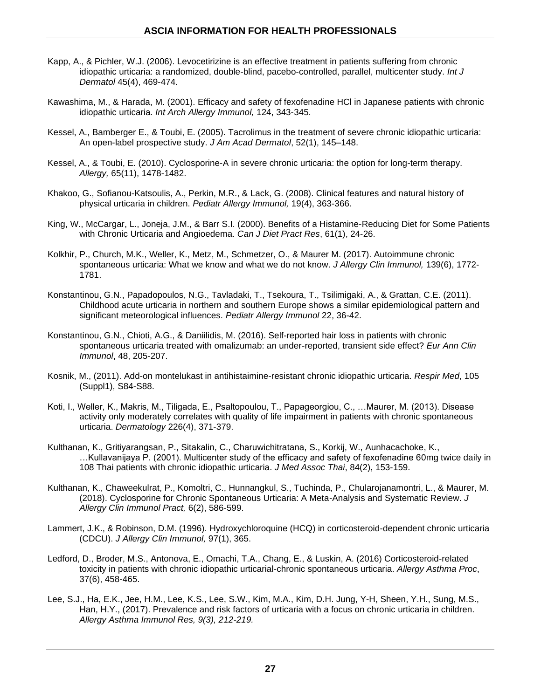- Kapp, A., & Pichler, W.J. (2006). Levocetirizine is an effective treatment in patients suffering from chronic idiopathic urticaria: a randomized, double-blind, pacebo-controlled, parallel, multicenter study. *Int J Dermatol* 45(4), 469-474.
- Kawashima, M., & Harada, M. (2001). Efficacy and safety of fexofenadine HCl in Japanese patients with chronic idiopathic urticaria. *Int Arch Allergy Immunol,* 124, 343-345.
- Kessel, A., Bamberger E., & Toubi, E. (2005). Tacrolimus in the treatment of severe chronic idiopathic urticaria: An open-label prospective study. *J Am Acad Dermatol*, 52(1), 145–148.
- Kessel, A., & Toubi, E. (2010). Cyclosporine-A in severe chronic urticaria: the option for long-term therapy. *Allergy,* 65(11), 1478-1482.
- Khakoo, G., Sofianou-Katsoulis, A., Perkin, M.R., & Lack, G. (2008). Clinical features and natural history of physical urticaria in children. *Pediatr Allergy Immunol,* 19(4), 363-366.
- [King,](http://www.ncbi.nlm.nih.gov/pubmed/?term=King%20W%5BAuthor%5D&cauthor=true&cauthor_uid=11551340) W., [McCargar,](http://www.ncbi.nlm.nih.gov/pubmed/?term=McCargar%20L%5BAuthor%5D&cauthor=true&cauthor_uid=11551340) L., [Joneja,](http://www.ncbi.nlm.nih.gov/pubmed/?term=Joneja%20JM%5BAuthor%5D&cauthor=true&cauthor_uid=11551340) J.M., & [Barr S.I.](http://www.ncbi.nlm.nih.gov/pubmed/?term=Barr%20SI%5BAuthor%5D&cauthor=true&cauthor_uid=11551340) (2000). Benefits of a Histamine-Reducing Diet for Some Patients with Chronic Urticaria and Angioedema. *[Can J Diet Pract Res](http://www.ncbi.nlm.nih.gov/pubmed/11551340)*, 61(1), 24-26.
- Kolkhir, P., Church, M.K., Weller, K., Metz, M., Schmetzer, O., & Maurer M. (2017). Autoimmune chronic spontaneous urticaria: What we know and what we do not know. *J Allergy Clin Immunol,* 139(6), 1772- 1781.
- Konstantinou, G.N., Papadopoulos, N.G., Tavladaki, T., Tsekoura, T., Tsilimigaki, A., & Grattan, C.E. (2011). Childhood acute urticaria in northern and southern Europe shows a similar epidemiological pattern and significant meteorological influences. *Pediatr Allergy Immunol* 22, 36-42.
- Konstantinou, G.N., Chioti, A.G., & Daniilidis, M. (2016). Self-reported hair loss in patients with chronic spontaneous urticaria treated with omalizumab: an under-reported, transient side effect? *Eur Ann Clin Immunol*, 48, 205-207.
- Kosnik, M., (2011). Add-on montelukast in antihistaimine-resistant chronic idiopathic urticaria. *Respir Med*, 105 (Suppl1), S84-S88.
- Koti, I., Weller, K., Makris, M., Tiligada, E., Psaltopoulou, T., Papageorgiou, C., …Maurer, M. (2013). Disease activity only moderately correlates with quality of life impairment in patients with chronic spontaneous urticaria. *Dermatology* 226(4), 371-379.
- Kulthanan, K., Gritiyarangsan, P., Sitakalin, C., Charuwichitratana, S., Korkij, W., Aunhacachoke, K., …Kullavanijaya P. (2001). Multicenter study of the efficacy and safety of fexofenadine 60mg twice daily in 108 Thai patients with chronic idiopathic urticaria. *J Med Assoc Thai*, 84(2), 153-159.
- Kulthanan, K., Chaweekulrat, P., Komoltri, C., Hunnangkul, S., Tuchinda, P., Chularojanamontri, L., & Maurer, M. (2018). Cyclosporine for Chronic Spontaneous Urticaria: A Meta-Analysis and Systematic Review. *J Allergy Clin Immunol Pract,* 6(2), 586-599.
- Lammert, J.K., & Robinson, D.M. (1996). Hydroxychloroquine (HCQ) in corticosteroid-dependent chronic urticaria (CDCU). *J Allergy Clin Immunol,* 97(1), 365.
- Ledford, D., Broder, M.S., Antonova, E., Omachi, T.A., Chang, E., & Luskin, A. (2016) Corticosteroid-related toxicity in patients with chronic idiopathic urticarial-chronic spontaneous urticaria. *Allergy Asthma Proc*, 37(6), 458-465.
- Lee, S.J., Ha, E.K., Jee, H.M., Lee, K.S., Lee, S.W., Kim, M.A., Kim, D.H. Jung, Y-H, Sheen, Y.H., Sung, M.S., Han, H.Y., (2017). Prevalence and risk factors of urticaria with a focus on chronic urticaria in children. *Allergy Asthma Immunol Res, 9(3), 212-219.*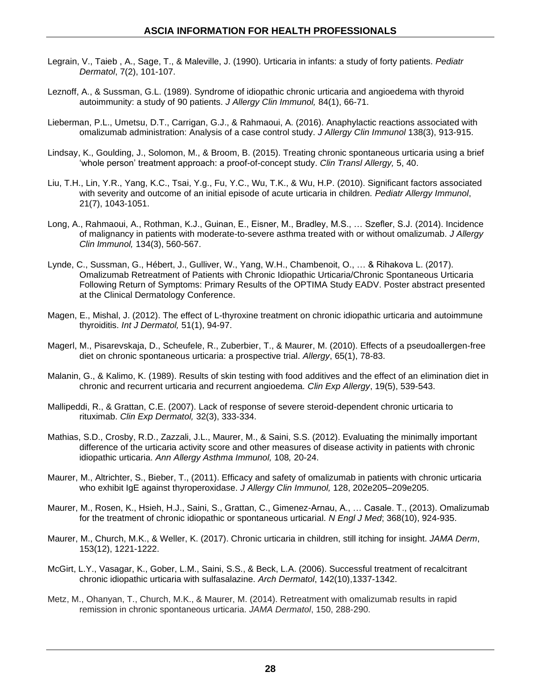- Legrain, V., Taieb , A., Sage, T., & Maleville, J. (1990). Urticaria in infants: a study of forty patients. *Pediatr Dermatol*, 7(2), 101-107.
- Leznoff, A., & Sussman, G.L. (1989). Syndrome of idiopathic chronic urticaria and angioedema with thyroid autoimmunity: a study of 90 patients. *J Allergy Clin Immunol,* 84(1), 66-71.
- Lieberman, P.L., Umetsu, D.T., Carrigan, G.J., & Rahmaoui, A. (2016). Anaphylactic reactions associated with omalizumab administration: Analysis of a case control study. *J Allergy Clin Immunol* 138(3), 913-915.
- Lindsay, K., Goulding, J., Solomon, M., & Broom, B. (2015). Treating chronic spontaneous urticaria using a brief 'whole person' treatment approach: a proof-of-concept study. *Clin Transl Allergy,* 5, 40.
- Liu, T.H., Lin, Y.R., Yang, K.C., Tsai, Y.g., Fu, Y.C., Wu, T.K., & Wu, H.P. (2010). Significant factors associated with severity and outcome of an initial episode of acute urticaria in children*. Pediatr Allergy Immunol*, 21(7), 1043-1051.
- Long, A., Rahmaoui, A., Rothman, K.J., Guinan, E., Eisner, M., Bradley, M.S., … Szefler, S.J. (2014). Incidence of malignancy in patients with moderate-to-severe asthma treated with or without omalizumab. *J Allergy Clin Immunol,* 134(3), 560-567.
- Lynde, C., Sussman, G., Hébert, J., Gulliver, W., Yang, W.H., Chambenoit, O., … & Rihakova L. (2017). Omalizumab Retreatment of Patients with Chronic Idiopathic Urticaria/Chronic Spontaneous Urticaria Following Return of Symptoms: Primary Results of the OPTIMA Study EADV. Poster abstract presented at the Clinical Dermatology Conference.
- Magen, E., Mishal, J. (2012). The effect of L-thyroxine treatment on chronic idiopathic urticaria and autoimmune thyroiditis. *Int J Dermatol,* 51(1), 94-97.
- [Magerl,](http://www.ncbi.nlm.nih.gov/pubmed/?term=Magerl%20M%5BAuthor%5D&cauthor=true&cauthor_uid=19796222) M., [Pisarevskaja,](http://www.ncbi.nlm.nih.gov/pubmed/?term=Pisarevskaja%20D%5BAuthor%5D&cauthor=true&cauthor_uid=19796222) D., [Scheufele,](http://www.ncbi.nlm.nih.gov/pubmed/?term=Scheufele%20R%5BAuthor%5D&cauthor=true&cauthor_uid=19796222) R., [Zuberbier,](http://www.ncbi.nlm.nih.gov/pubmed/?term=Zuberbier%20T%5BAuthor%5D&cauthor=true&cauthor_uid=19796222) T., & [Maurer,](http://www.ncbi.nlm.nih.gov/pubmed/?term=Maurer%20M%5BAuthor%5D&cauthor=true&cauthor_uid=19796222) M. (2010). Effects of a pseudoallergen-free diet on chronic spontaneous urticaria: a prospective trial. *Allergy*, 65(1), 78-83.
- [Malanin,](http://www.ncbi.nlm.nih.gov/pubmed/?term=Malanin%20G%5BAuthor%5D&cauthor=true&cauthor_uid=2790561) G., & [Kalimo,](http://www.ncbi.nlm.nih.gov/pubmed/?term=Kalimo%20K%5BAuthor%5D&cauthor=true&cauthor_uid=2790561) K. (1989). Results of skin testing with food additives and the effect of an elimination diet in chronic and recurrent urticaria and recurrent angioedema. *Clin Exp Allergy*, 19(5), 539-543.
- Mallipeddi, R., & Grattan, C.E. (2007). Lack of response of severe steroid-dependent chronic urticaria to rituximab. *Clin Exp Dermatol,* 32(3), 333-334.
- Mathias, S.D., Crosby, R.D., Zazzali, J.L., Maurer, M., & Saini, S.S. (2012). Evaluating the minimally important difference of the urticaria activity score and other measures of disease activity in patients with chronic idiopathic urticaria. *Ann Allergy Asthma Immunol,* 108*,* 20-24.
- Maurer, M., Altrichter, S., Bieber, T., (2011). Efficacy and safety of omalizumab in patients with chronic urticaria who exhibit IgE against thyroperoxidase. *J Allergy Clin Immunol,* 128, 202e205–209e205.
- Maurer, M., Rosen, K., Hsieh, H.J., Saini, S., Grattan, C., Gimenez-Arnau, A., … Casale. T., (2013). Omalizumab for the treatment of chronic idiopathic or spontaneous urticarial. *N Engl J Med*; 368(10), 924-935.
- Maurer, M., Church, M.K., & Weller, K. (2017). Chronic urticaria in children, still itching for insight. *JAMA Derm*, 153(12), 1221-1222.
- McGirt, L.Y., Vasagar, K., Gober, L.M., Saini, S.S., & Beck, L.A. (2006). Successful treatment of recalcitrant chronic idiopathic urticaria with sulfasalazine. *Arch Dermatol*, 142(10),1337-1342.
- Metz, M., Ohanyan, T., Church, M.K., & Maurer, M. (2014). Retreatment with omalizumab results in rapid remission in chronic spontaneous urticaria. *JAMA Dermatol*, 150, 288-290.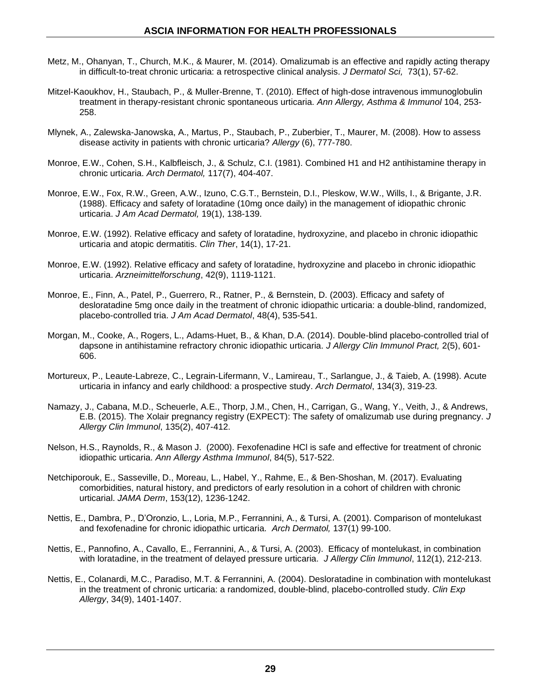- [Metz,](http://www.ncbi.nlm.nih.gov/pubmed/?term=Metz%20M%5BAuthor%5D&cauthor=true&cauthor_uid=24060603) M., [Ohanyan,](http://www.ncbi.nlm.nih.gov/pubmed/?term=Ohanyan%20T%5BAuthor%5D&cauthor=true&cauthor_uid=24060603) T., [Church,](http://www.ncbi.nlm.nih.gov/pubmed/?term=Church%20MK%5BAuthor%5D&cauthor=true&cauthor_uid=24060603) M.K., & [Maurer,](http://www.ncbi.nlm.nih.gov/pubmed/?term=Maurer%20M%5BAuthor%5D&cauthor=true&cauthor_uid=24060603) M. (2014). Omalizumab is an effective and rapidly acting therapy in difficult-to-treat chronic urticaria: a retrospective clinical analysis. *J Dermatol S[ci,](http://www.ncbi.nlm.nih.gov/pubmed/24060603)* 73(1), 57-62.
- Mitzel-Kaoukhov, H., Staubach, P., & Muller-Brenne, T. (2010). Effect of high-dose intravenous immunoglobulin treatment in therapy-resistant chronic spontaneous urticaria. *Ann Allergy, Asthma & Immunol* 104, 253- 258.
- Mlynek, A., Zalewska-Janowska, A., Martus, P., Staubach, P., Zuberbier, T., Maurer, M. (2008). How to assess disease activity in patients with chronic urticaria? *Allergy* (6), 777-780.
- Monroe, E.W., Cohen, S.H., Kalbfleisch, J., & Schulz, C.I. (1981). Combined H1 and H2 antihistamine therapy in chronic urticaria. *Arch Dermatol,* 117(7), 404-407.
- Monroe, E.W., Fox, R.W., Green, A.W., Izuno, C.G.T., Bernstein, D.I., Pleskow, W.W., Wills, I., & Brigante, J.R. (1988). Efficacy and safety of loratadine (10mg once daily) in the management of idiopathic chronic urticaria. *J Am Acad Dermatol,* 19(1), 138-139.
- Monroe, E.W. (1992). Relative efficacy and safety of loratadine, hydroxyzine, and placebo in chronic idiopathic urticaria and atopic dermatitis. *Clin Ther*, 14(1), 17-21.
- Monroe, E.W. (1992). Relative efficacy and safety of loratadine, hydroxyzine and placebo in chronic idiopathic urticaria. *Arzneimittelforschung*, 42(9), 1119-1121.
- Monroe, E., Finn, A., Patel, P., Guerrero, R., Ratner, P., & Bernstein, D. (2003). Efficacy and safety of desloratadine 5mg once daily in the treatment of chronic idiopathic urticaria: a double-blind, randomized, placebo-controlled tria. *J Am Acad Dermatol*, 48(4), 535-541.
- Morgan, M., Cooke, A., Rogers, L., Adams-Huet, B., & Khan, D.A. (2014). Double-blind placebo-controlled trial of dapsone in antihistamine refractory chronic idiopathic urticaria. *J Allergy Clin Immunol Pract,* 2(5), 601- 606.
- Mortureux, P., Leaute-Labreze, C., Legrain-Lifermann, V., Lamireau, T., Sarlangue, J., & Taieb, A. (1998). Acute urticaria in infancy and early childhood: a prospective study. *Arch Dermatol*, 134(3), 319-23.
- Namazy, J., Cabana, M.D., Scheuerle, A.E., Thorp, J.M., Chen, H., Carrigan, G., Wang, Y., Veith, J., & Andrews, E.B. (2015). The Xolair pregnancy registry (EXPECT): The safety of omalizumab use during pregnancy. *J Allergy Clin Immunol*, 135(2), 407-412.
- Nelson, H.S., Raynolds, R., & Mason J. (2000). Fexofenadine HCl is safe and effective for treatment of chronic idiopathic urticaria. *Ann Allergy Asthma Immunol*, 84(5), 517-522.
- Netchiporouk, E., Sasseville, D., Moreau, L., Habel, Y., Rahme, E., & Ben-Shoshan, M. (2017). Evaluating comorbidities, natural history, and predictors of early resolution in a cohort of children with chronic urticarial. *JAMA Derm*, 153(12), 1236-1242.
- Nettis, E., Dambra, P., D'Oronzio, L., Loria, M.P., Ferrannini, A., & Tursi, A. (2001). Comparison of montelukast and fexofenadine for chronic idiopathic urticaria. *Arch Dermatol,* 137(1) 99-100.
- Nettis, E., Pannofino, A., Cavallo, E., Ferrannini, A., & Tursi, A. (2003). Efficacy of montelukast, in combination with loratadine, in the treatment of delayed pressure urticaria. *J Allergy Clin Immunol*, 112(1), 212-213.
- Nettis, E., Colanardi, M.C., Paradiso, M.T. & Ferrannini, A. (2004). Desloratadine in combination with montelukast in the treatment of chronic urticaria: a randomized, double-blind, placebo-controlled study. *Clin Exp Allergy*, 34(9), 1401-1407.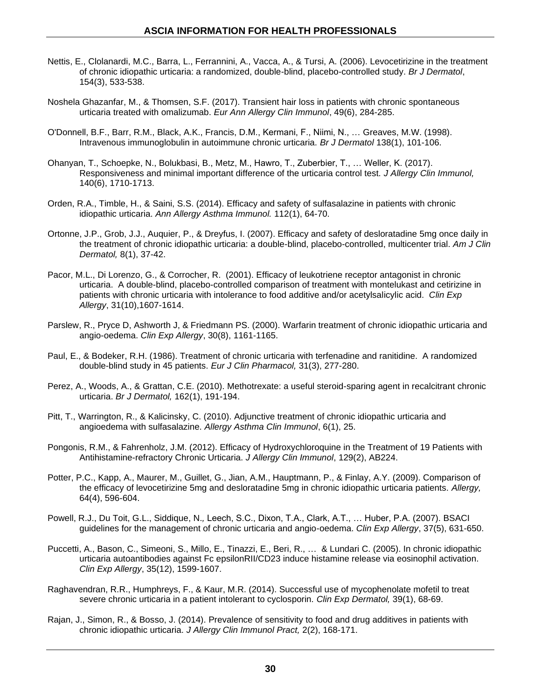- Nettis, E., Clolanardi, M.C., Barra, L., Ferrannini, A., Vacca, A., & Tursi, A. (2006). Levocetirizine in the treatment of chronic idiopathic urticaria: a randomized, double-blind, placebo-controlled study. *Br J Dermatol*, 154(3), 533-538.
- Noshela Ghazanfar, M., & Thomsen, S.F. (2017). Transient hair loss in patients with chronic spontaneous urticaria treated with omalizumab. *Eur Ann Allergy Clin Immunol*, 49(6), 284-285.
- O'Donnell, B.F., Barr, R.M., Black, A.K., Francis, D.M., Kermani, F., Niimi, N., … Greaves, M.W. (1998). Intravenous immunoglobulin in autoimmune chronic urticaria. *Br J Dermatol* 138(1), 101-106.
- Ohanyan, T., Schoepke, N., Bolukbasi, B., Metz, M., Hawro, T., Zuberbier, T., … Weller, K. (2017). Responsiveness and minimal important difference of the urticaria control test. *J Allergy Clin Immunol,*  140(6), 1710-1713.
- Orden, R.A., Timble, H., & Saini, S.S. (2014). Efficacy and safety of sulfasalazine in patients with chronic idiopathic urticaria. *Ann Allergy Asthma Immunol.* 112(1), 64-70.
- Ortonne, J.P., Grob, J.J., Auquier, P., & Dreyfus, I. (2007). Efficacy and safety of desloratadine 5mg once daily in the treatment of chronic idiopathic urticaria: a double-blind, placebo-controlled, multicenter trial. *Am J Clin Dermatol,* 8(1), 37-42.
- Pacor, M.L., Di Lorenzo, G., & Corrocher, R. (2001). Efficacy of leukotriene receptor antagonist in chronic urticaria. A double-blind, placebo-controlled comparison of treatment with montelukast and cetirizine in patients with chronic urticaria with intolerance to food additive and/or acetylsalicylic acid. *Clin Exp Allergy*, 31(10),1607-1614.
- Parslew, R., Pryce D, Ashworth J, & Friedmann PS. (2000). Warfarin treatment of chronic idiopathic urticaria and angio-oedema. *Clin Exp Allergy*, 30(8), 1161-1165.
- Paul, E., & Bodeker, R.H. (1986). Treatment of chronic urticaria with terfenadine and ranitidine. A randomized double-blind study in 45 patients. *Eur J Clin Pharmacol,* 31(3), 277-280.
- Perez, A., Woods, A., & Grattan, C.E. (2010). Methotrexate: a useful steroid-sparing agent in recalcitrant chronic urticaria. *Br J Dermatol,* 162(1), 191-194.
- Pitt, T., Warrington, R., & Kalicinsky, C. (2010). Adjunctive treatment of chronic idiopathic urticaria and angioedema with sulfasalazine. *Allergy Asthma Clin Immunol*, 6(1), 25.
- Pongonis, R.M., & Fahrenholz, J.M. (2012). Efficacy of Hydroxychloroquine in the Treatment of 19 Patients with Antihistamine-refractory Chronic Urticaria. *J Allergy Clin Immunol*, 129(2), AB224.
- Potter, P.C., Kapp, A., Maurer, M., Guillet, G., Jian, A.M., Hauptmann, P., & Finlay, A.Y. (2009). Comparison of the efficacy of levocetirizine 5mg and desloratadine 5mg in chronic idiopathic urticaria patients. *Allergy,* 64(4), 596-604.
- Powell, R.J., Du Toit, G.L., Siddique, N.*,* Leech, S.C., Dixon, T.A., Clark, A.T., … Huber, P.A. (2007). BSACI guidelines for the management of chronic urticaria and angio-oedema. *Clin Exp Allergy*, 37(5), 631-650.
- Puccetti, A., Bason, C., Simeoni, S., Millo, E., Tinazzi, E., Beri, R., … & Lundari C. (2005). In chronic idiopathic urticaria autoantibodies against Fc epsilonRII/CD23 induce histamine release via eosinophil activation. *Clin Exp Allergy*, 35(12), 1599-1607.
- Raghavendran, R.R., Humphreys, F., & Kaur, M.R. (2014). Successful use of mycophenolate mofetil to treat severe chronic urticaria in a patient intolerant to cyclosporin. *Clin Exp Dermatol,* 39(1), 68-69.
- Rajan, J., Simon, R., & Bosso, J. (2014). Prevalence of sensitivity to food and drug additives in patients with chronic idiopathic urticaria. *J Allergy Clin Immunol Pract,* 2(2), 168-171.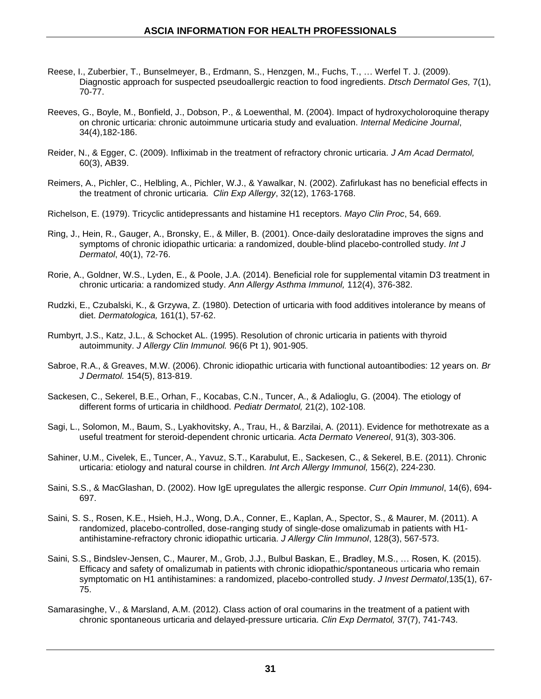- [Reese,](http://www.ncbi.nlm.nih.gov/pubmed/?term=Reese%20I%5BAuthor%5D&cauthor=true&cauthor_uid=19054425) I., [Zuberbier,](http://www.ncbi.nlm.nih.gov/pubmed/?term=Zuberbier%20T%5BAuthor%5D&cauthor=true&cauthor_uid=19054425) T., [Bunselmeyer,](http://www.ncbi.nlm.nih.gov/pubmed/?term=Bunselmeyer%20B%5BAuthor%5D&cauthor=true&cauthor_uid=19054425) B., [Erdmann,](http://www.ncbi.nlm.nih.gov/pubmed/?term=Erdmann%20S%5BAuthor%5D&cauthor=true&cauthor_uid=19054425) S., [Henzgen,](http://www.ncbi.nlm.nih.gov/pubmed/?term=Henzgen%20M%5BAuthor%5D&cauthor=true&cauthor_uid=19054425) M., [Fuchs, T.](http://www.ncbi.nlm.nih.gov/pubmed/?term=Fuchs%20T%5BAuthor%5D&cauthor=true&cauthor_uid=19054425), … [Werfel T.](http://www.ncbi.nlm.nih.gov/pubmed/?term=Werfel%20T%5BAuthor%5D&cauthor=true&cauthor_uid=19054425) [J.](http://www.ncbi.nlm.nih.gov/pubmed/19054425) (2009). Diagnostic approach for suspected pseudoallergic reaction to food ingredients. *Dtsch Dermatol Ges,* 7(1), 70-77.
- Reeves, G., Boyle, M., Bonfield, J., Dobson, P., & Loewenthal, M. (2004). Impact of hydroxycholoroquine therapy on chronic urticaria: chronic autoimmune urticaria study and evaluation. *Internal Medicine Journal*, 34(4),182-186.
- Reider, N., & Egger, C. (2009). Infliximab in the treatment of refractory chronic urticaria. *J Am Acad Dermatol,* 60(3), AB39.
- Reimers, A., Pichler, C., Helbling, A., Pichler, W.J., & Yawalkar, N. (2002). Zafirlukast has no beneficial effects in the treatment of chronic urticaria. *Clin Exp Allergy*, 32(12), 1763-1768.
- Richelson, E. (1979). Tricyclic antidepressants and histamine H1 receptors. *Mayo Clin Proc*, 54, 669.
- Ring, J., Hein, R., Gauger, A., Bronsky, E., & Miller, B. (2001). Once-daily desloratadine improves the signs and symptoms of chronic idiopathic urticaria: a randomized, double-blind placebo-controlled study. *Int J Dermatol*, 40(1), 72-76.
- [Rorie,](http://www.ncbi.nlm.nih.gov/pubmed/?term=Rorie%20A%5BAuthor%5D&cauthor=true&cauthor_uid=24507460) A., [Goldner,](http://www.ncbi.nlm.nih.gov/pubmed/?term=Goldner%20WS%5BAuthor%5D&cauthor=true&cauthor_uid=24507460) W.S., [Lyden,](http://www.ncbi.nlm.nih.gov/pubmed/?term=Lyden%20E%5BAuthor%5D&cauthor=true&cauthor_uid=24507460) E., & [Poole,](http://www.ncbi.nlm.nih.gov/pubmed/?term=Poole%20JA%5BAuthor%5D&cauthor=true&cauthor_uid=24507460) J.A. (2014). Beneficial role for supplemental vitamin D3 treatment in chronic urticaria: a randomized study. *[Ann Allergy Asthma Immunol,](http://www.ncbi.nlm.nih.gov/pubmed/24507460)* 112(4), 376-382.
- [Rudzki,](http://www.ncbi.nlm.nih.gov/pubmed/?term=Rudzki%20E%5BAuthor%5D&cauthor=true&cauthor_uid=7398978) E., [Czubalski,](http://www.ncbi.nlm.nih.gov/pubmed/?term=Czubalski%20K%5BAuthor%5D&cauthor=true&cauthor_uid=7398978) K., & [Grzywa,](http://www.ncbi.nlm.nih.gov/pubmed/?term=Grzywa%20Z%5BAuthor%5D&cauthor=true&cauthor_uid=7398978) Z. (1980). Detection of urticaria with food additives intolerance by means of diet. *[Dermatologica,](http://www.ncbi.nlm.nih.gov/pubmed/7398978)* 161(1), 57-62.
- Rumbyrt, J.S., Katz, J.L., & Schocket AL. (1995). Resolution of chronic urticaria in patients with thyroid autoimmunity. *J Allergy Clin Immunol.* 96(6 Pt 1), 901-905.
- Sabroe, R.A., & Greaves, M.W. (2006). Chronic idiopathic urticaria with functional autoantibodies: 12 years on. *Br J Dermatol.* 154(5), 813-819.
- Sackesen, C., Sekerel, B.E., Orhan, F., Kocabas, C.N., Tuncer, A., & Adalioglu, G. (2004). The etiology of different forms of urticaria in childhood. *Pediatr Dermatol,* 21(2), 102-108.
- Sagi, L., Solomon, M., Baum, S., Lyakhovitsky, A., Trau, H., & Barzilai, A. (2011). Evidence for methotrexate as a useful treatment for steroid-dependent chronic urticaria. *Acta Dermato Venereol*, 91(3), 303-306.
- Sahiner, U.M., Civelek, E., Tuncer, A., Yavuz, S.T., Karabulut, E., Sackesen, C., & Sekerel, B.E. (2011). Chronic urticaria: etiology and natural course in children*. Int Arch Allergy Immunol,* 156(2), 224-230.
- Saini, S.S., & MacGlashan, D. (2002). How IgE upregulates the allergic response. *Curr Opin Immunol*, 14(6), 694- 697.
- Saini, S. S., Rosen, K.E., Hsieh, H.J., Wong, D.A., Conner, E., Kaplan, A., Spector, S., & Maurer, M. (2011). A randomized, placebo-controlled, dose-ranging study of single-dose omalizumab in patients with H1 antihistamine-refractory chronic idiopathic urticaria. *J Allergy Clin Immunol*, 128(3), 567-573.
- Saini, S.S., Bindslev-Jensen, C., Maurer, M., Grob, J.J., Bulbul Baskan, E., Bradley, M.S., … Rosen, K. (2015). Efficacy and safety of omalizumab in patients with chronic idiopathic/spontaneous urticaria who remain symptomatic on H1 antihistamines: a randomized, placebo-controlled study. *J Invest Dermatol*,135(1), 67- 75.
- Samarasinghe, V., & Marsland, A.M. (2012). Class action of oral coumarins in the treatment of a patient with chronic spontaneous urticaria and delayed-pressure urticaria. *Clin Exp Dermatol,* 37(7), 741-743.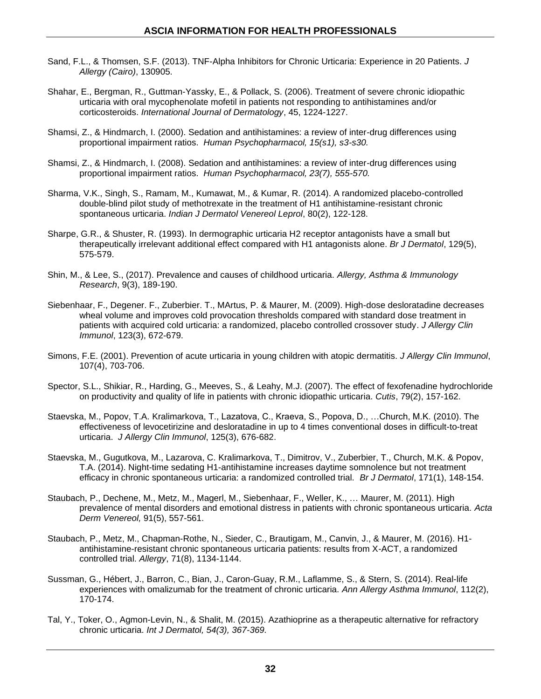- Sand, F.L., & Thomsen, S.F. (2013). TNF-Alpha Inhibitors for Chronic Urticaria: Experience in 20 Patients. *J Allergy (Cairo)*, 130905.
- Shahar, E., Bergman, R., Guttman-Yassky, E., & Pollack, S. (2006). Treatment of severe chronic idiopathic urticaria with oral mycophenolate mofetil in patients not responding to antihistamines and/or corticosteroids. *International Journal of Dermatology*, 45, 1224-1227.
- Shamsi, Z., & Hindmarch, I. (2000). Sedation and antihistamines: a review of inter-drug differences using proportional impairment ratios. *Human Psychopharmacol, 15(s1), s3-s30.*
- Shamsi, Z., & Hindmarch, I. (2008). Sedation and antihistamines: a review of inter-drug differences using proportional impairment ratios. *Human Psychopharmacol, 23(7), 555-570.*
- Sharma, V.K., Singh, S., Ramam, M., Kumawat, M., & Kumar, R. (2014). A randomized placebo-controlled double-blind pilot study of methotrexate in the treatment of H1 antihistamine-resistant chronic spontaneous urticaria. *Indian J Dermatol Venereol Leprol*, 80(2), 122-128.
- Sharpe, G.R., & Shuster, R. (1993). In dermographic urticaria H2 receptor antagonists have a small but therapeutically irrelevant additional effect compared with H1 antagonists alone. *Br J Dermatol*, 129(5), 575-579.
- Shin, M., & Lee, S., (2017). Prevalence and causes of childhood urticaria. *Allergy, Asthma & Immunology Research*, 9(3), 189-190.
- Siebenhaar, F., Degener. F., Zuberbier. T., MArtus, P. & Maurer, M. (2009). High-dose desloratadine decreases wheal volume and improves cold provocation thresholds compared with standard dose treatment in patients with acquired cold urticaria: a randomized, placebo controlled crossover study. *J Allergy Clin Immunol*, 123(3), 672-679.
- Simons, F.E. (2001). Prevention of acute urticaria in young children with atopic dermatitis. *J Allergy Clin Immunol*, 107(4), 703-706.
- Spector, S.L., Shikiar, R., Harding, G., Meeves, S., & Leahy, M.J. (2007). The effect of fexofenadine hydrochloride on productivity and quality of life in patients with chronic idiopathic urticaria. *Cutis*, 79(2), 157-162.
- Staevska, M., Popov, T.A. Kralimarkova, T., Lazatova, C., Kraeva, S., Popova, D., …Church, M.K. (2010). The effectiveness of levocetirizine and desloratadine in up to 4 times conventional doses in difficult-to-treat urticaria. *J Allergy Clin Immunol*, 125(3), 676-682.
- Staevska, M., Gugutkova, M., Lazarova, C. Kralimarkova, T., Dimitrov, V., Zuberbier, T., Church, M.K. & Popov, T.A. (2014). Night-time sedating H1-antihistamine increases daytime somnolence but not treatment efficacy in chronic spontaneous urticaria: a randomized controlled trial. *Br J Dermatol*, 171(1), 148-154.
- Staubach, P., Dechene, M., Metz, M., Magerl, M., Siebenhaar, F., Weller, K., … Maurer, M. (2011). High prevalence of mental disorders and emotional distress in patients with chronic spontaneous urticaria. *Acta Derm Venereol,* 91(5), 557-561.
- Staubach, P., Metz, M., Chapman-Rothe, N., Sieder, C., Brautigam, M., Canvin, J., & Maurer, M. (2016). H1 antihistamine-resistant chronic spontaneous urticaria patients: results from X-ACT, a randomized controlled trial. *Allergy*, 71(8), 1134-1144.
- Sussman, G., Hébert, J., Barron, C., Bian, J., Caron-Guay, R.M., Laflamme, S., & Stern, S. (2014). [Real-life](http://www.ncbi.nlm.nih.gov/pubmed/24468258)  [experiences with omalizumab for the treatment of chronic urticaria.](http://www.ncbi.nlm.nih.gov/pubmed/24468258) *Ann Allergy Asthma Immunol*, 112(2), 170-174.
- Tal, Y., Toker, O., Agmon-Levin, N., & Shalit, M. (2015). Azathioprine as a therapeutic alternative for refractory chronic urticaria. *Int J Dermatol, 54(3), 367-369.*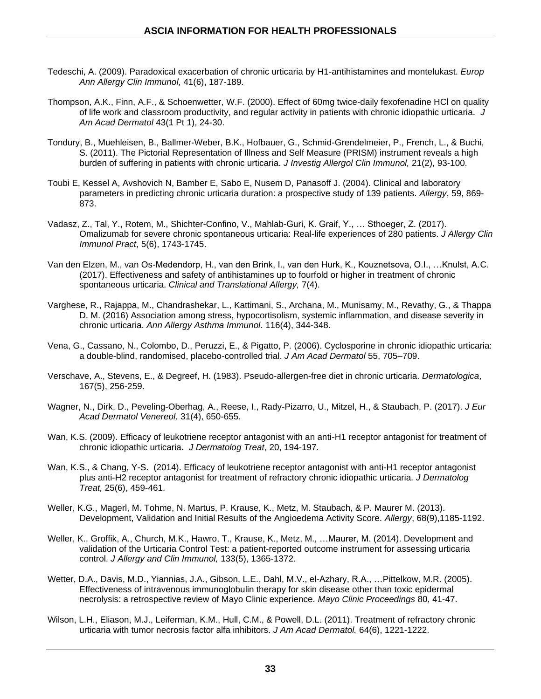- Tedeschi, A. (2009). Paradoxical exacerbation of chronic urticaria by H1-antihistamines and montelukast. *Europ Ann Allergy Clin Immunol,* 41(6), 187-189.
- Thompson, A.K., Finn, A.F., & Schoenwetter, W.F. (2000). Effect of 60mg twice-daily fexofenadine HCl on quality of life work and classroom productivity, and regular activity in patients with chronic idiopathic urticaria. *J Am Acad Dermatol* 43(1 Pt 1), 24-30.
- Tondury, B., Muehleisen, B., Ballmer-Weber, B.K., Hofbauer, G., Schmid-Grendelmeier, P., French, L., & Buchi, S. (2011). The Pictorial Representation of Illness and Self Measure (PRISM) instrument reveals a high burden of suffering in patients with chronic urticaria. *J Investig Allergol Clin Immunol,* 21(2), 93-100.
- Toubi E, Kessel A, Avshovich N, Bamber E, Sabo E, Nusem D, Panasoff J. (2004). Clinical and laboratory parameters in predicting chronic urticaria duration: a prospective study of 139 patients. *Allergy*, 59, 869- 873.
- Vadasz, Z., Tal, Y., Rotem, M., Shichter-Confino, V., Mahlab-Guri, K. Graif, Y., … Sthoeger, Z. (2017). Omalizumab for severe chronic spontaneous urticaria: Real-life experiences of 280 patients. *J Allergy Clin Immunol Pract*, 5(6), 1743-1745.
- Van den Elzen, M., van Os-Medendorp, H., van den Brink, I., van den Hurk, K., Kouznetsova, O.I., …Knulst, A.C. (2017). Effectiveness and safety of antihistamines up to fourfold or higher in treatment of chronic spontaneous urticaria. *Clinical and Translational Allergy,* 7(4).
- Varghese, R., Rajappa, M., Chandrashekar, L., Kattimani, S., Archana, M., Munisamy, M., Revathy, G., & Thappa D. M. (2016) Association among stress, hypocortisolism, systemic inflammation, and disease severity in chronic urticaria. *Ann Allergy Asthma Immunol*. 116(4), 344-348.
- Vena, G., Cassano, N., Colombo, D., Peruzzi, E., & Pigatto, P. (2006). Cyclosporine in chronic idiopathic urticaria: a double-blind, randomised, placebo-controlled trial. *J Am Acad Dermatol* 55, 705–709.
- [Verschave,](http://www.ncbi.nlm.nih.gov/pubmed/?term=Verschave%20A%5BAuthor%5D&cauthor=true&cauthor_uid=6653850) A., [Stevens,](http://www.ncbi.nlm.nih.gov/pubmed/?term=Stevens%20E%5BAuthor%5D&cauthor=true&cauthor_uid=6653850) E., & [Degreef,](http://www.ncbi.nlm.nih.gov/pubmed/?term=Degreef%20H%5BAuthor%5D&cauthor=true&cauthor_uid=6653850) H. (1983). Pseudo-allergen-free diet in chronic urticaria. *Dermatologica*, 167(5), 256-259.
- Wagner, N., Dirk, D., Peveling-Oberhag, A., Reese, I., Rady-Pizarro, U., Mitzel, H., & Staubach, P. (2017). *J Eur Acad Dermatol Venereol,* 31(4), 650-655.
- Wan, K.S. (2009). Efficacy of leukotriene receptor antagonist with an anti-H1 receptor antagonist for treatment of chronic idiopathic urticaria. *J Dermatolog Treat*, 20, 194-197.
- Wan, K.S., & Chang, Y-S. (2014). Efficacy of leukotriene receptor antagonist with anti-H1 receptor antagonist plus anti-H2 receptor antagonist for treatment of refractory chronic idiopathic urticaria. *J Dermatolog Treat,* 25(6), 459-461.
- Weller, K.G., Magerl, M. Tohme, N. Martus, P. Krause, K., Metz, M. Staubach, & P. Maurer M. (2013). Development, Validation and Initial Results of the Angioedema Activity Score. *Allergy*, 68(9),1185-1192.
- Weller, K., Groffik, A., Church, M.K., Hawro, T., Krause, K., Metz, M., …Maurer, M. (2014). Development and validation of the Urticaria Control Test: a patient-reported outcome instrument for assessing urticaria control. *J Allergy and Clin Immunol,* 133(5), 1365-1372.
- Wetter, D.A., Davis, M.D., Yiannias, J.A., Gibson, L.E., Dahl, M.V., el-Azhary, R.A., …Pittelkow, M.R. (2005). Effectiveness of intravenous immunoglobulin therapy for skin disease other than toxic epidermal necrolysis: a retrospective review of Mayo Clinic experience. *Mayo Clinic Proceedings* 80, 41-47.
- Wilson, L.H., Eliason, M.J., Leiferman, K.M., Hull, C.M., & Powell, D.L. (2011). Treatment of refractory chronic urticaria with tumor necrosis factor alfa inhibitors. *J Am Acad Dermatol.* 64(6), 1221-1222.